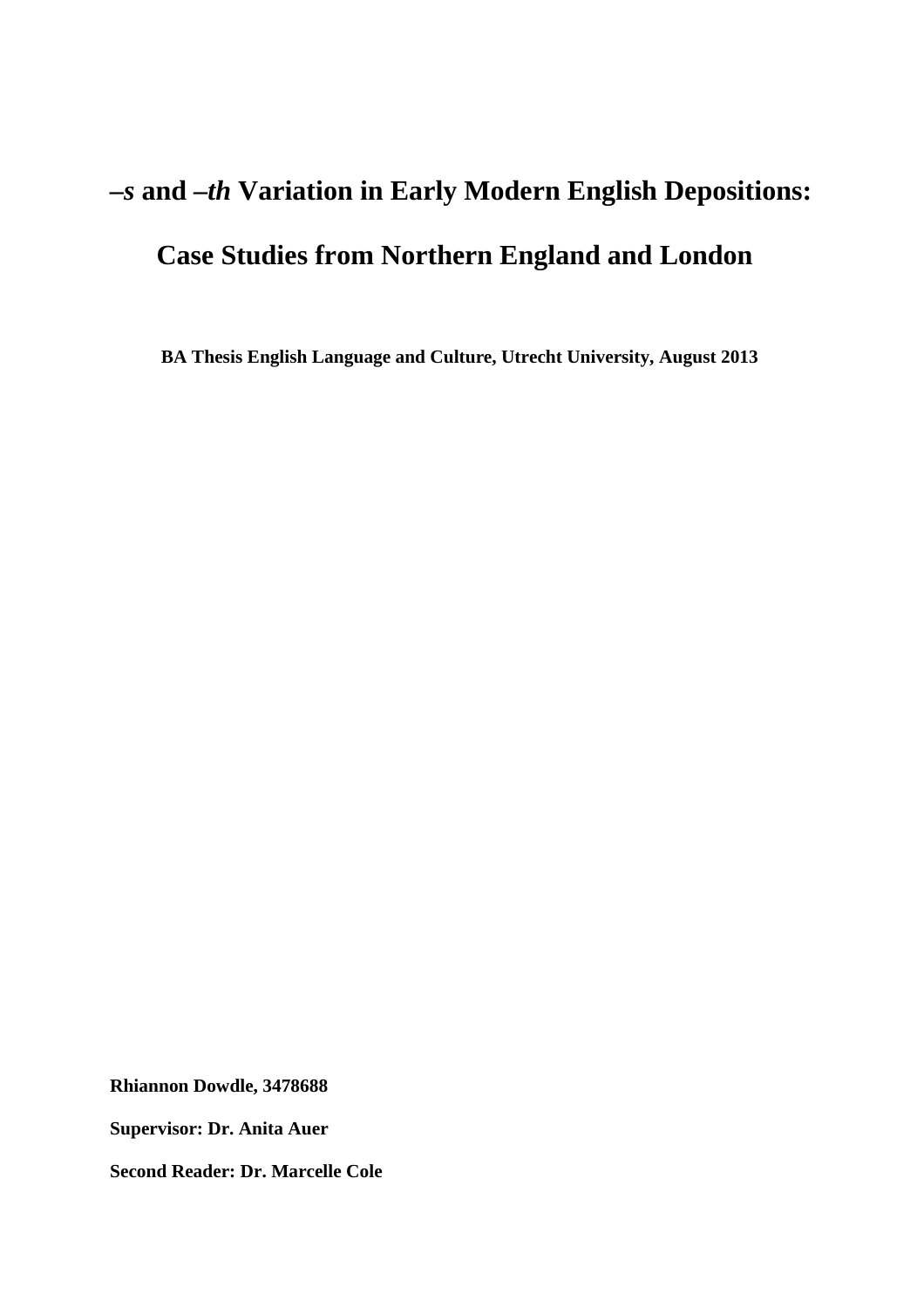# *–s* **and** *–th* **Variation in Early Modern English Depositions: Case Studies from Northern England and London**

 **BA Thesis English Language and Culture, Utrecht University, August 2013** 

**Rhiannon Dowdle, 3478688** 

**Supervisor: Dr. Anita Auer** 

**Second Reader: Dr. Marcelle Cole**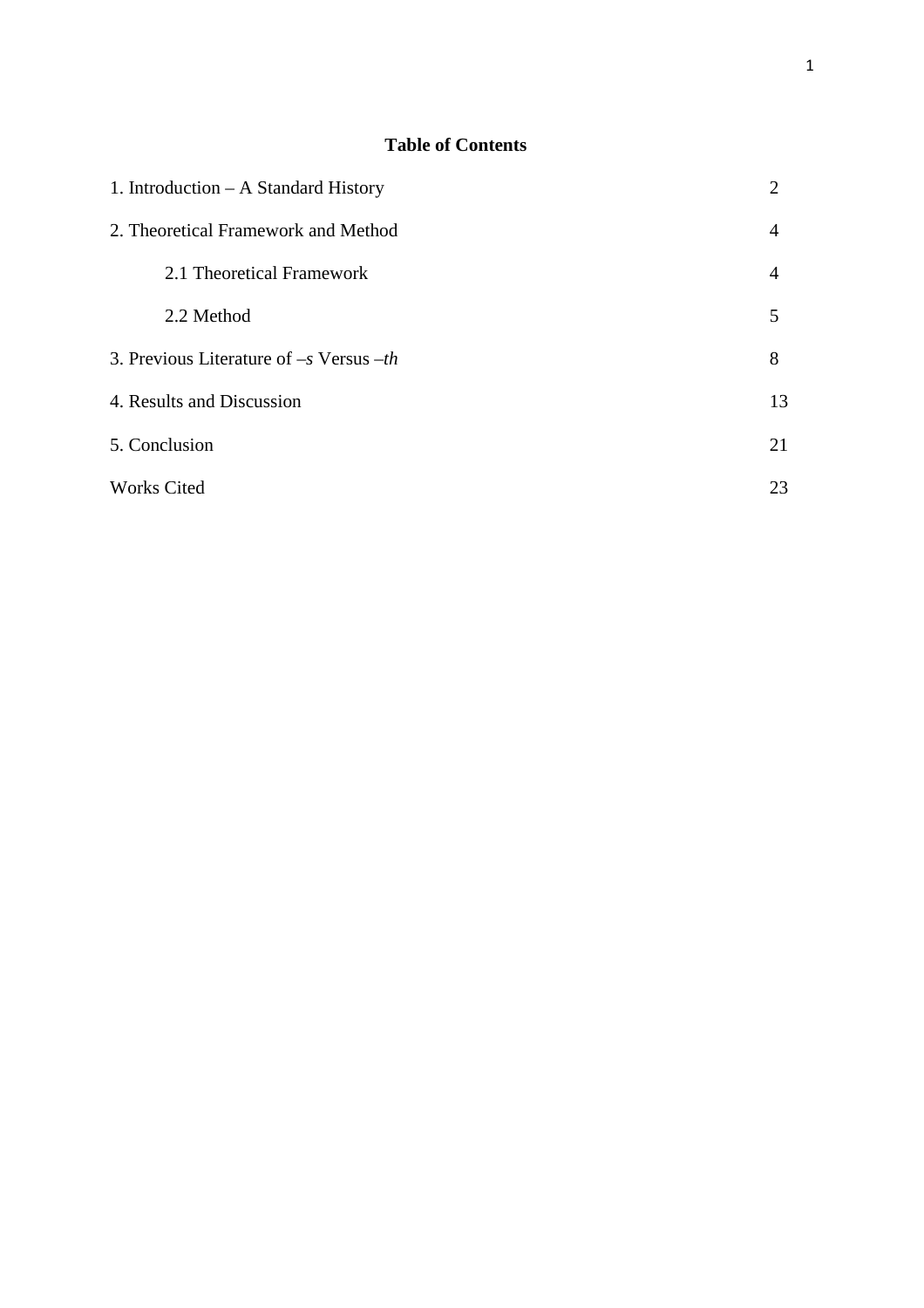# **Table of Contents**

| 1. Introduction $- A$ Standard History      |                |  |  |
|---------------------------------------------|----------------|--|--|
| 2. Theoretical Framework and Method         |                |  |  |
| 2.1 Theoretical Framework                   | $\overline{4}$ |  |  |
| 2.2 Method                                  | 5              |  |  |
| 3. Previous Literature of $-s$ Versus $-th$ | 8              |  |  |
| 4. Results and Discussion                   | 13             |  |  |
| 5. Conclusion                               | 21             |  |  |
| <b>Works Cited</b>                          | 23             |  |  |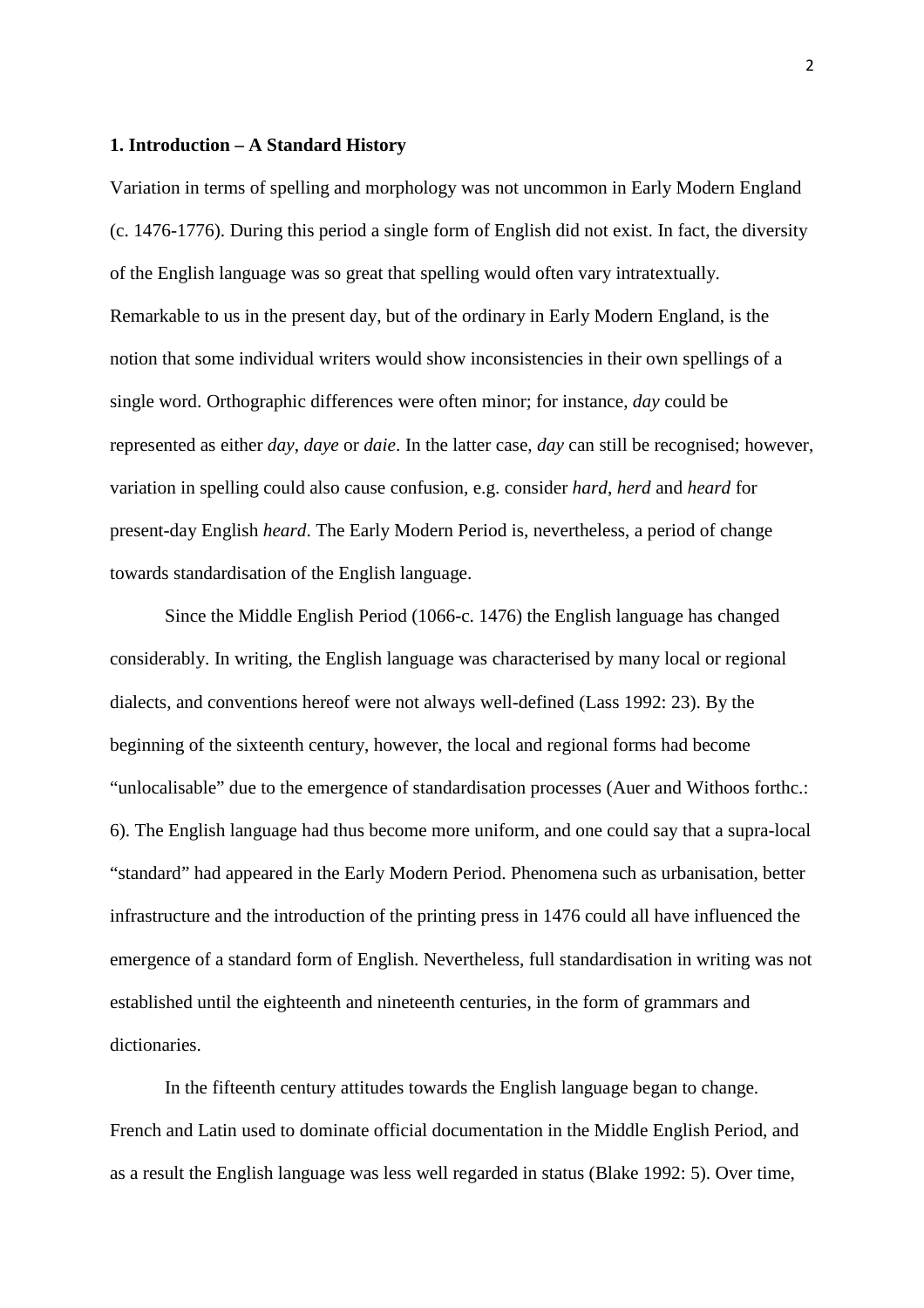# **1. Introduction – A Standard History**

Variation in terms of spelling and morphology was not uncommon in Early Modern England (c. 1476-1776). During this period a single form of English did not exist. In fact, the diversity of the English language was so great that spelling would often vary intratextually. Remarkable to us in the present day, but of the ordinary in Early Modern England, is the notion that some individual writers would show inconsistencies in their own spellings of a single word. Orthographic differences were often minor; for instance, *day* could be represented as either *day*, *daye* or *daie*. In the latter case, *day* can still be recognised; however, variation in spelling could also cause confusion, e.g. consider *hard*, *herd* and *heard* for present-day English *heard*. The Early Modern Period is, nevertheless, a period of change towards standardisation of the English language.

 Since the Middle English Period (1066-c. 1476) the English language has changed considerably. In writing, the English language was characterised by many local or regional dialects, and conventions hereof were not always well-defined (Lass 1992: 23). By the beginning of the sixteenth century, however, the local and regional forms had become "unlocalisable" due to the emergence of standardisation processes (Auer and Withoos forthc.: 6). The English language had thus become more uniform, and one could say that a supra-local "standard" had appeared in the Early Modern Period. Phenomena such as urbanisation, better infrastructure and the introduction of the printing press in 1476 could all have influenced the emergence of a standard form of English. Nevertheless, full standardisation in writing was not established until the eighteenth and nineteenth centuries, in the form of grammars and dictionaries.

 In the fifteenth century attitudes towards the English language began to change. French and Latin used to dominate official documentation in the Middle English Period, and as a result the English language was less well regarded in status (Blake 1992: 5). Over time,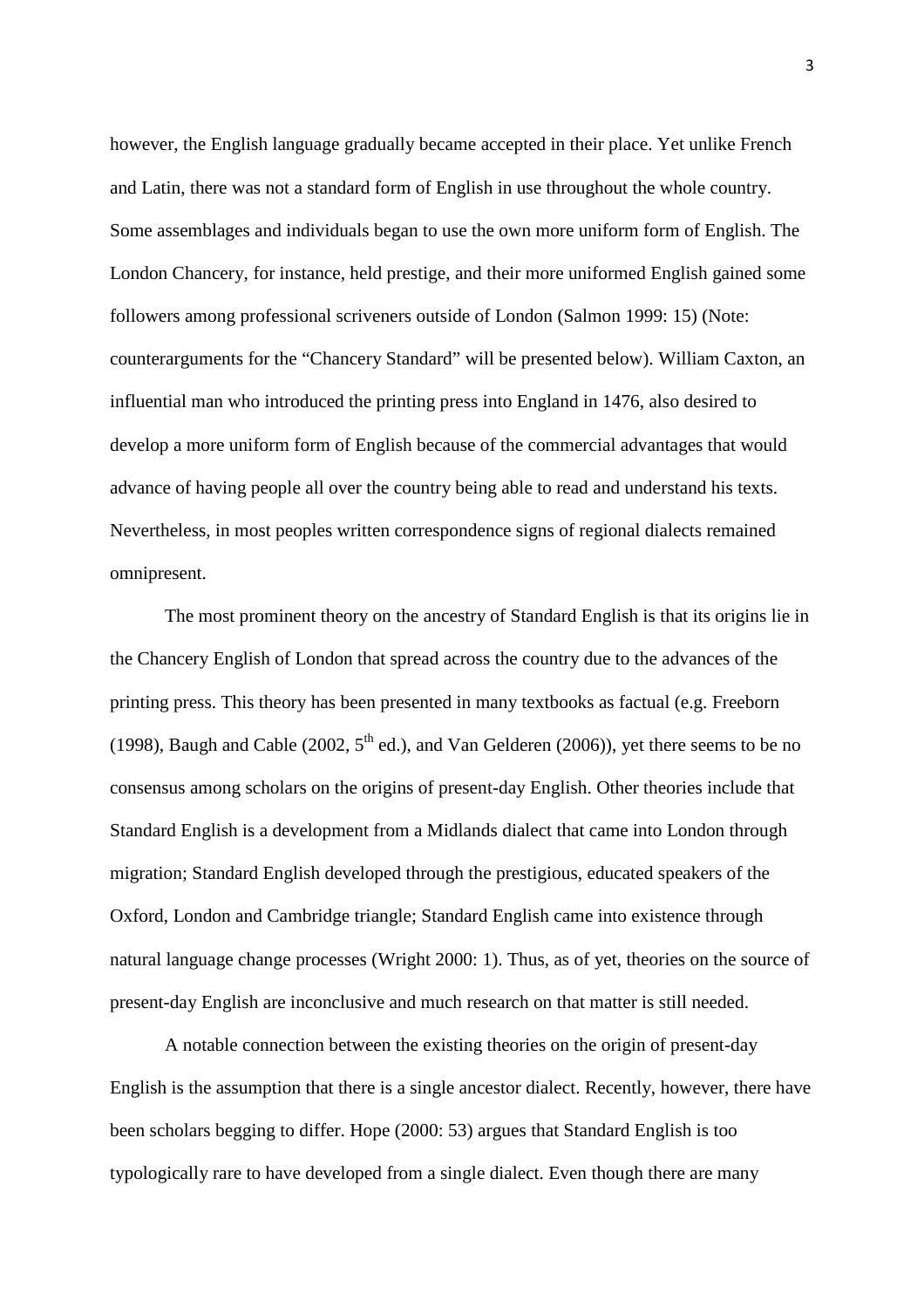however, the English language gradually became accepted in their place. Yet unlike French and Latin, there was not a standard form of English in use throughout the whole country. Some assemblages and individuals began to use the own more uniform form of English. The London Chancery, for instance, held prestige, and their more uniformed English gained some followers among professional scriveners outside of London (Salmon 1999: 15) (Note: counterarguments for the "Chancery Standard" will be presented below). William Caxton, an influential man who introduced the printing press into England in 1476, also desired to develop a more uniform form of English because of the commercial advantages that would advance of having people all over the country being able to read and understand his texts. Nevertheless, in most peoples written correspondence signs of regional dialects remained omnipresent.

 The most prominent theory on the ancestry of Standard English is that its origins lie in the Chancery English of London that spread across the country due to the advances of the printing press. This theory has been presented in many textbooks as factual (e.g. Freeborn (1998), Baugh and Cable (2002,  $5<sup>th</sup>$  ed.), and Van Gelderen (2006)), yet there seems to be no consensus among scholars on the origins of present-day English. Other theories include that Standard English is a development from a Midlands dialect that came into London through migration; Standard English developed through the prestigious, educated speakers of the Oxford, London and Cambridge triangle; Standard English came into existence through natural language change processes (Wright 2000: 1). Thus, as of yet, theories on the source of present-day English are inconclusive and much research on that matter is still needed.

 A notable connection between the existing theories on the origin of present-day English is the assumption that there is a single ancestor dialect. Recently, however, there have been scholars begging to differ. Hope (2000: 53) argues that Standard English is too typologically rare to have developed from a single dialect. Even though there are many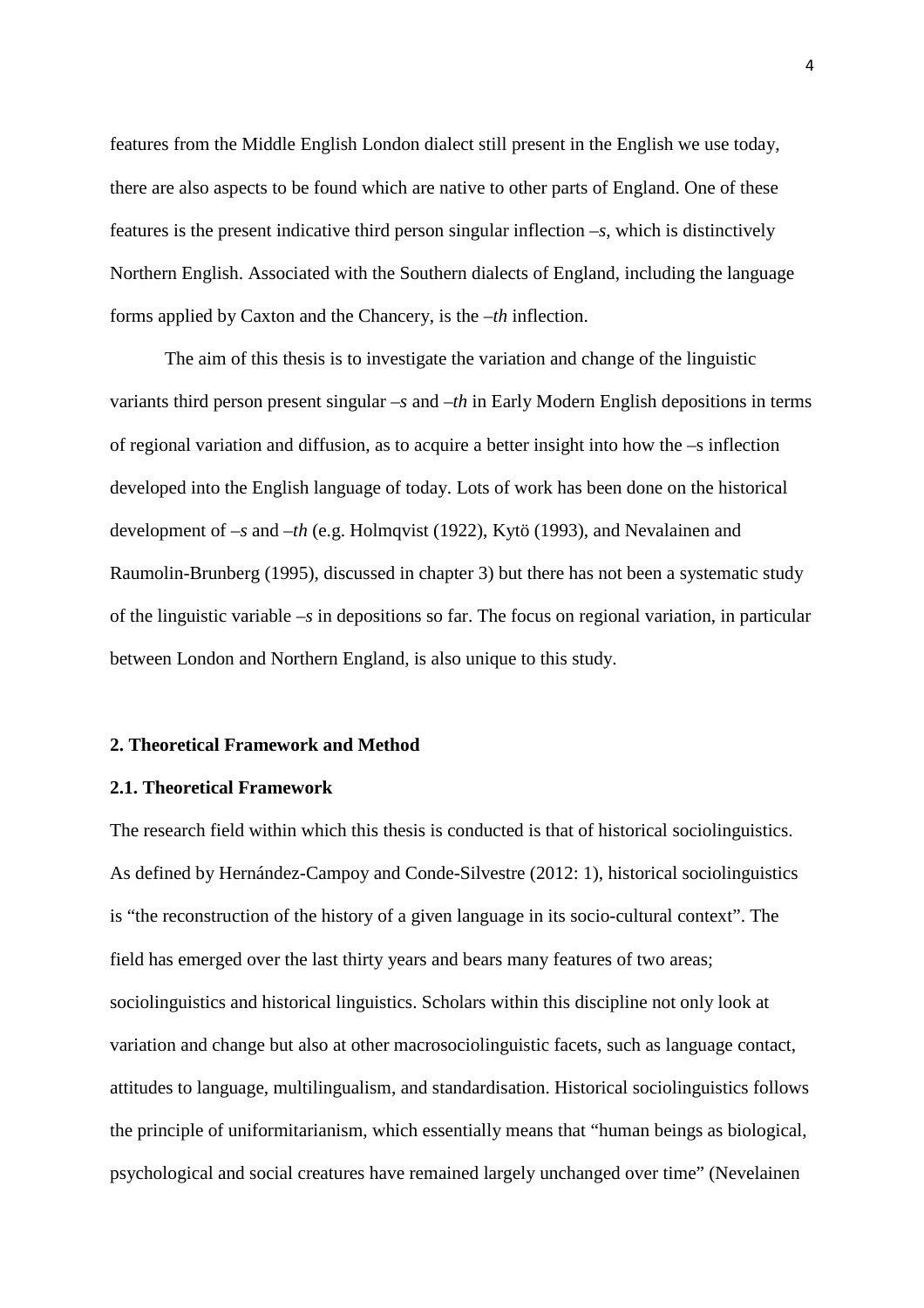features from the Middle English London dialect still present in the English we use today, there are also aspects to be found which are native to other parts of England. One of these features is the present indicative third person singular inflection *–s*, which is distinctively Northern English. Associated with the Southern dialects of England, including the language forms applied by Caxton and the Chancery, is the *–th* inflection.

 The aim of this thesis is to investigate the variation and change of the linguistic variants third person present singular *–s* and *–th* in Early Modern English depositions in terms of regional variation and diffusion, as to acquire a better insight into how the –s inflection developed into the English language of today. Lots of work has been done on the historical development of *–s* and *–th* (e.g. Holmqvist (1922), Kytö (1993), and Nevalainen and Raumolin-Brunberg (1995), discussed in chapter 3) but there has not been a systematic study of the linguistic variable *–s* in depositions so far. The focus on regional variation, in particular between London and Northern England, is also unique to this study.

### **2. Theoretical Framework and Method**

#### **2.1. Theoretical Framework**

The research field within which this thesis is conducted is that of historical sociolinguistics. As defined by Hernández-Campoy and Conde-Silvestre (2012: 1), historical sociolinguistics is "the reconstruction of the history of a given language in its socio-cultural context". The field has emerged over the last thirty years and bears many features of two areas; sociolinguistics and historical linguistics. Scholars within this discipline not only look at variation and change but also at other macrosociolinguistic facets, such as language contact, attitudes to language, multilingualism, and standardisation. Historical sociolinguistics follows the principle of uniformitarianism, which essentially means that "human beings as biological, psychological and social creatures have remained largely unchanged over time" (Nevelainen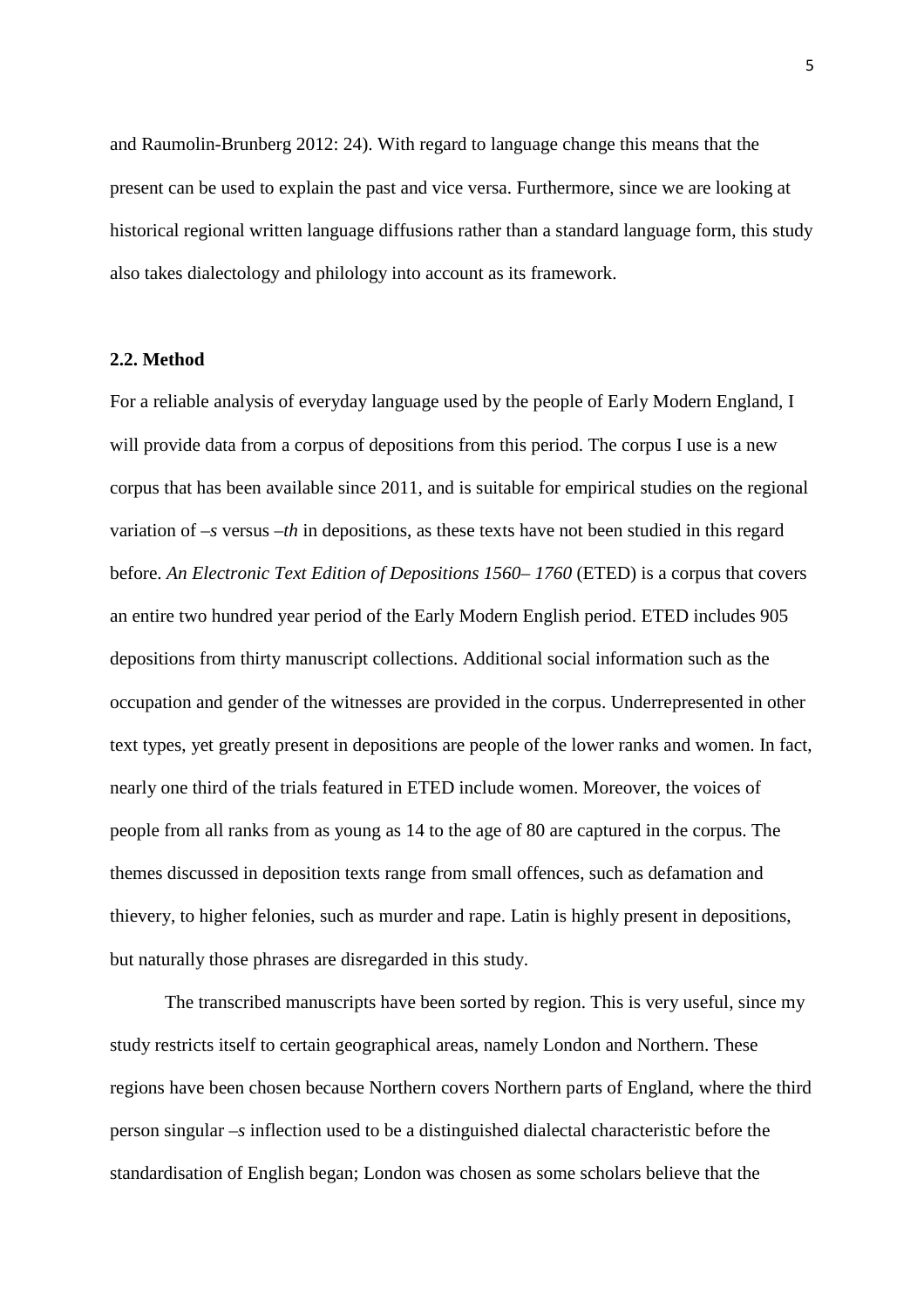and Raumolin-Brunberg 2012: 24). With regard to language change this means that the present can be used to explain the past and vice versa. Furthermore, since we are looking at historical regional written language diffusions rather than a standard language form, this study also takes dialectology and philology into account as its framework.

# **2.2. Method**

For a reliable analysis of everyday language used by the people of Early Modern England, I will provide data from a corpus of depositions from this period. The corpus I use is a new corpus that has been available since 2011, and is suitable for empirical studies on the regional variation of *–s* versus *–th* in depositions, as these texts have not been studied in this regard before. *An Electronic Text Edition of Depositions 1560–1760* (ETED) is a corpus that covers an entire two hundred year period of the Early Modern English period. ETED includes 905 depositions from thirty manuscript collections. Additional social information such as the occupation and gender of the witnesses are provided in the corpus. Underrepresented in other text types, yet greatly present in depositions are people of the lower ranks and women. In fact, nearly one third of the trials featured in ETED include women. Moreover, the voices of people from all ranks from as young as 14 to the age of 80 are captured in the corpus. The themes discussed in deposition texts range from small offences, such as defamation and thievery, to higher felonies, such as murder and rape. Latin is highly present in depositions, but naturally those phrases are disregarded in this study.

 The transcribed manuscripts have been sorted by region. This is very useful, since my study restricts itself to certain geographical areas, namely London and Northern. These regions have been chosen because Northern covers Northern parts of England, where the third person singular *–s* inflection used to be a distinguished dialectal characteristic before the standardisation of English began; London was chosen as some scholars believe that the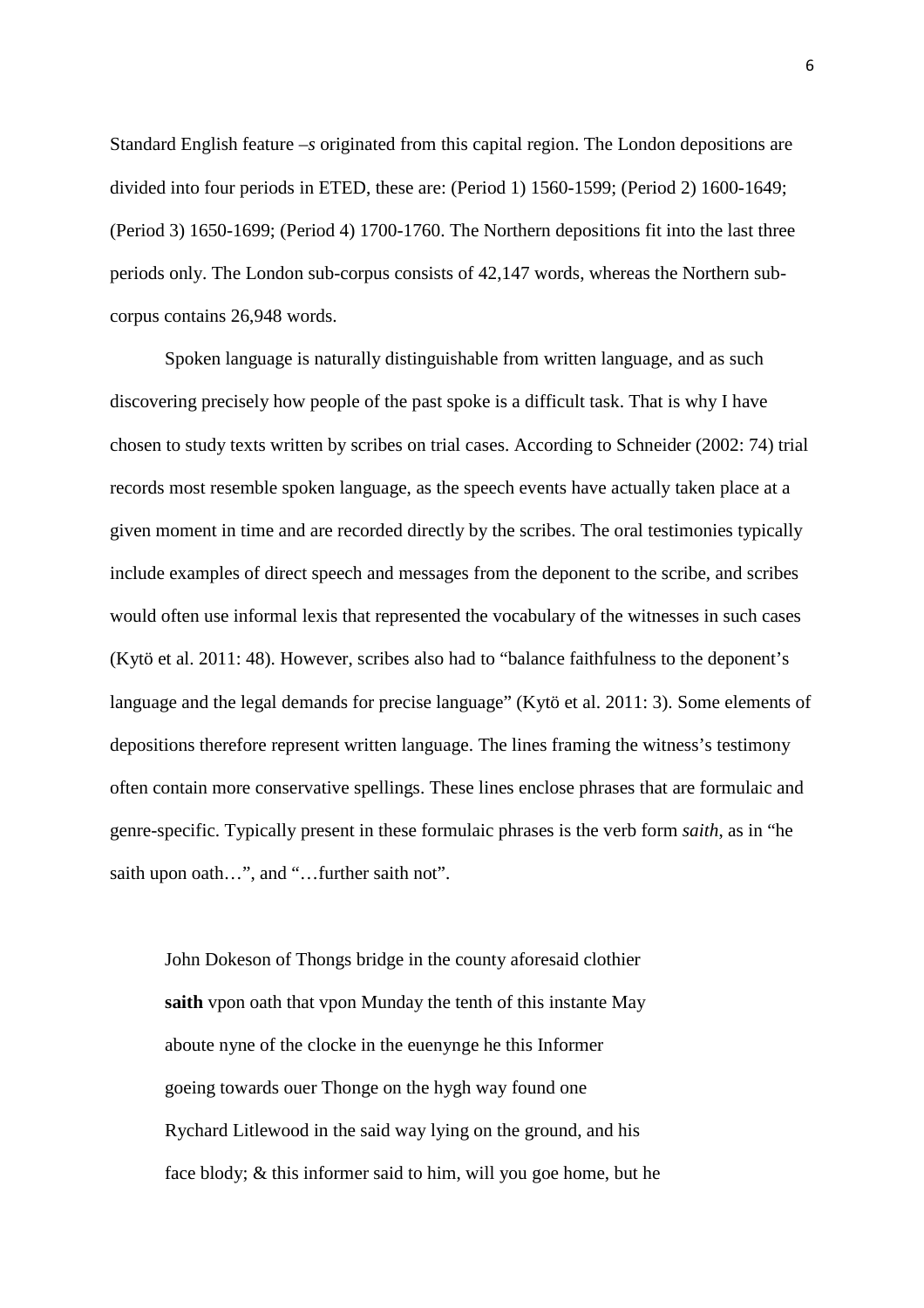Standard English feature *–s* originated from this capital region. The London depositions are divided into four periods in ETED, these are: (Period 1) 1560-1599; (Period 2) 1600-1649; (Period 3) 1650-1699; (Period 4) 1700-1760. The Northern depositions fit into the last three periods only. The London sub-corpus consists of 42,147 words, whereas the Northern subcorpus contains 26,948 words.

 Spoken language is naturally distinguishable from written language, and as such discovering precisely how people of the past spoke is a difficult task. That is why I have chosen to study texts written by scribes on trial cases. According to Schneider (2002: 74) trial records most resemble spoken language, as the speech events have actually taken place at a given moment in time and are recorded directly by the scribes. The oral testimonies typically include examples of direct speech and messages from the deponent to the scribe, and scribes would often use informal lexis that represented the vocabulary of the witnesses in such cases (Kytö et al. 2011: 48). However, scribes also had to "balance faithfulness to the deponent's language and the legal demands for precise language" (Kytö et al. 2011: 3). Some elements of depositions therefore represent written language. The lines framing the witness's testimony often contain more conservative spellings. These lines enclose phrases that are formulaic and genre-specific. Typically present in these formulaic phrases is the verb form *saith*, as in "he saith upon oath...", and "...further saith not".

 John Dokeson of Thongs bridge in the county aforesaid clothier **saith** vpon oath that vpon Munday the tenth of this instante May aboute nyne of the clocke in the euenynge he this Informer goeing towards ouer Thonge on the hygh way found one Rychard Litlewood in the said way lying on the ground, and his face blody; & this informer said to him, will you goe home, but he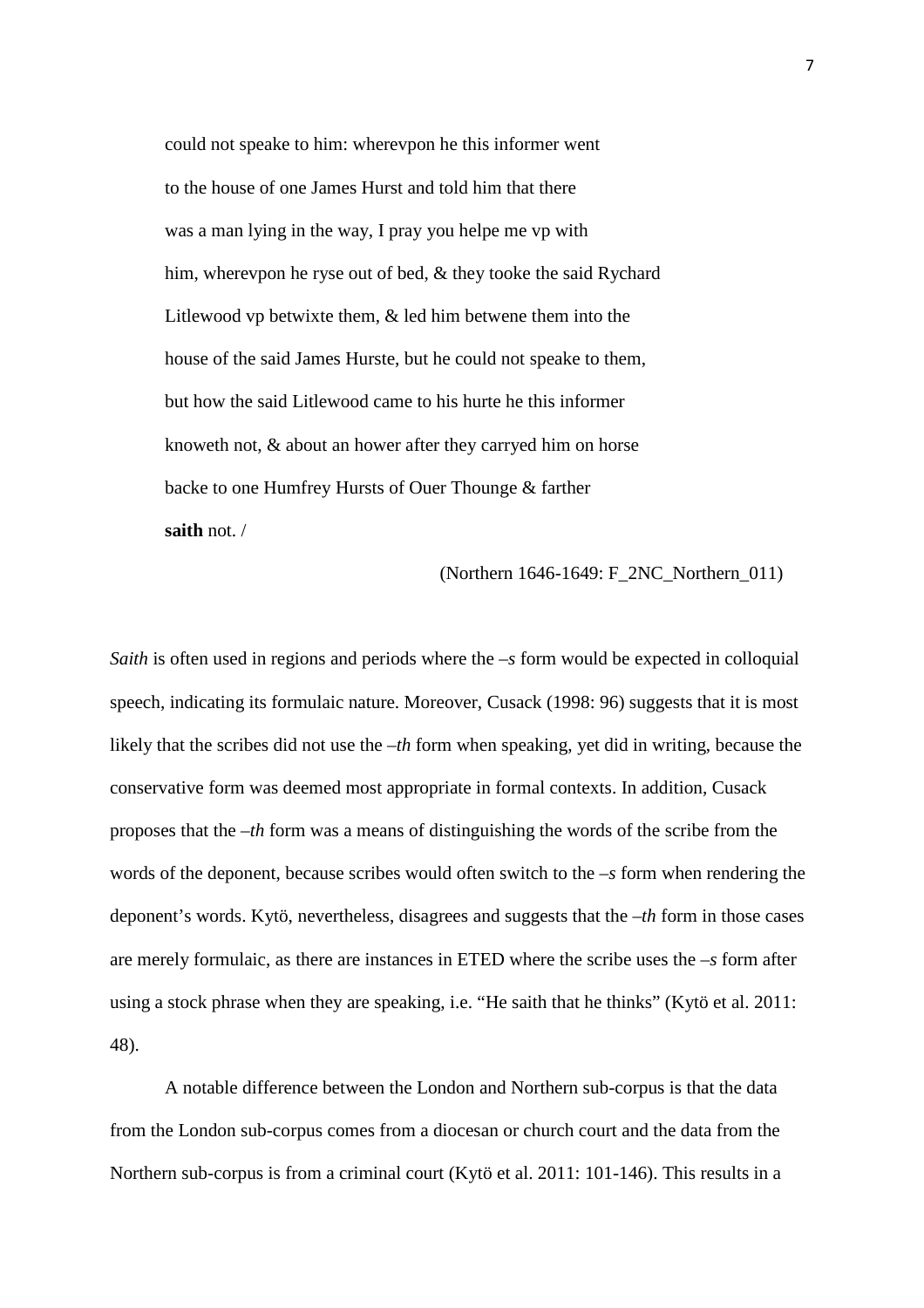could not speake to him: wherevpon he this informer went to the house of one James Hurst and told him that there was a man lying in the way, I pray you helpe me vp with him, wherevpon he ryse out of bed, & they tooke the said Rychard Litlewood vp betwixte them, & led him betwene them into the house of the said James Hurste, but he could not speake to them, but how the said Litlewood came to his hurte he this informer knoweth not, & about an hower after they carryed him on horse backe to one Humfrey Hursts of Ouer Thounge & farther **saith** not. /

(Northern 1646-1649: F\_2NC\_Northern\_011)

*Saith* is often used in regions and periods where the *–s* form would be expected in colloquial speech, indicating its formulaic nature. Moreover, Cusack (1998: 96) suggests that it is most likely that the scribes did not use the *–th* form when speaking, yet did in writing, because the conservative form was deemed most appropriate in formal contexts. In addition, Cusack proposes that the *–th* form was a means of distinguishing the words of the scribe from the words of the deponent, because scribes would often switch to the *–s* form when rendering the deponent's words. Kytö, nevertheless, disagrees and suggests that the *–th* form in those cases are merely formulaic, as there are instances in ETED where the scribe uses the *–s* form after using a stock phrase when they are speaking, i.e. "He saith that he thinks" (Kytö et al. 2011: 48).

 A notable difference between the London and Northern sub-corpus is that the data from the London sub-corpus comes from a diocesan or church court and the data from the Northern sub-corpus is from a criminal court (Kytö et al. 2011: 101-146). This results in a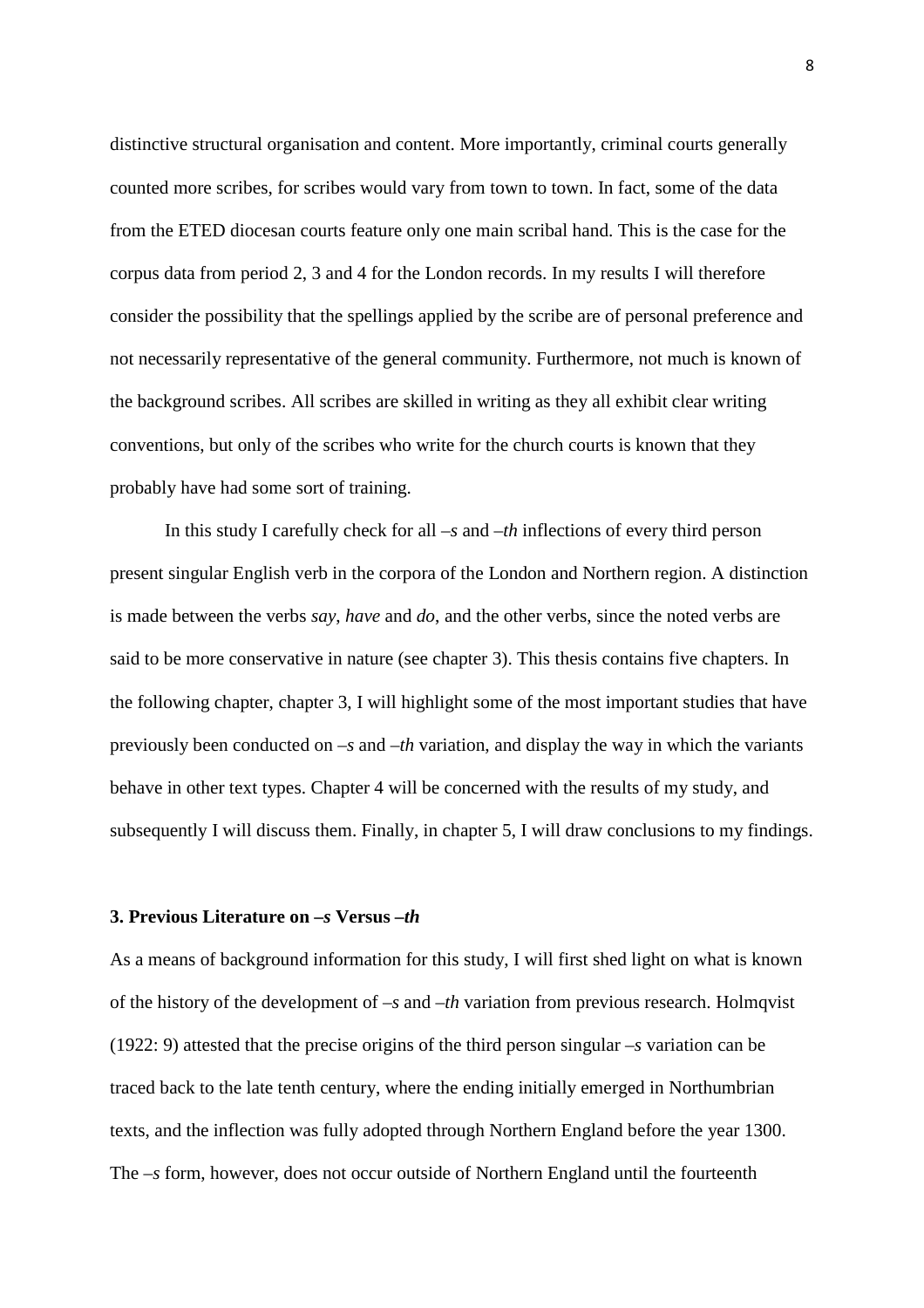distinctive structural organisation and content. More importantly, criminal courts generally counted more scribes, for scribes would vary from town to town. In fact, some of the data from the ETED diocesan courts feature only one main scribal hand. This is the case for the corpus data from period 2, 3 and 4 for the London records. In my results I will therefore consider the possibility that the spellings applied by the scribe are of personal preference and not necessarily representative of the general community. Furthermore, not much is known of the background scribes. All scribes are skilled in writing as they all exhibit clear writing conventions, but only of the scribes who write for the church courts is known that they probably have had some sort of training.

 In this study I carefully check for all *–s* and *–th* inflections of every third person present singular English verb in the corpora of the London and Northern region. A distinction is made between the verbs *say*, *have* and *do*, and the other verbs, since the noted verbs are said to be more conservative in nature (see chapter 3). This thesis contains five chapters. In the following chapter, chapter 3, I will highlight some of the most important studies that have previously been conducted on *–s* and *–th* variation, and display the way in which the variants behave in other text types. Chapter 4 will be concerned with the results of my study, and subsequently I will discuss them. Finally, in chapter 5, I will draw conclusions to my findings.

#### **3. Previous Literature on** *–s* **Versus** *–th*

As a means of background information for this study, I will first shed light on what is known of the history of the development of *–s* and *–th* variation from previous research. Holmqvist (1922: 9) attested that the precise origins of the third person singular *–s* variation can be traced back to the late tenth century, where the ending initially emerged in Northumbrian texts, and the inflection was fully adopted through Northern England before the year 1300. The *–s* form, however, does not occur outside of Northern England until the fourteenth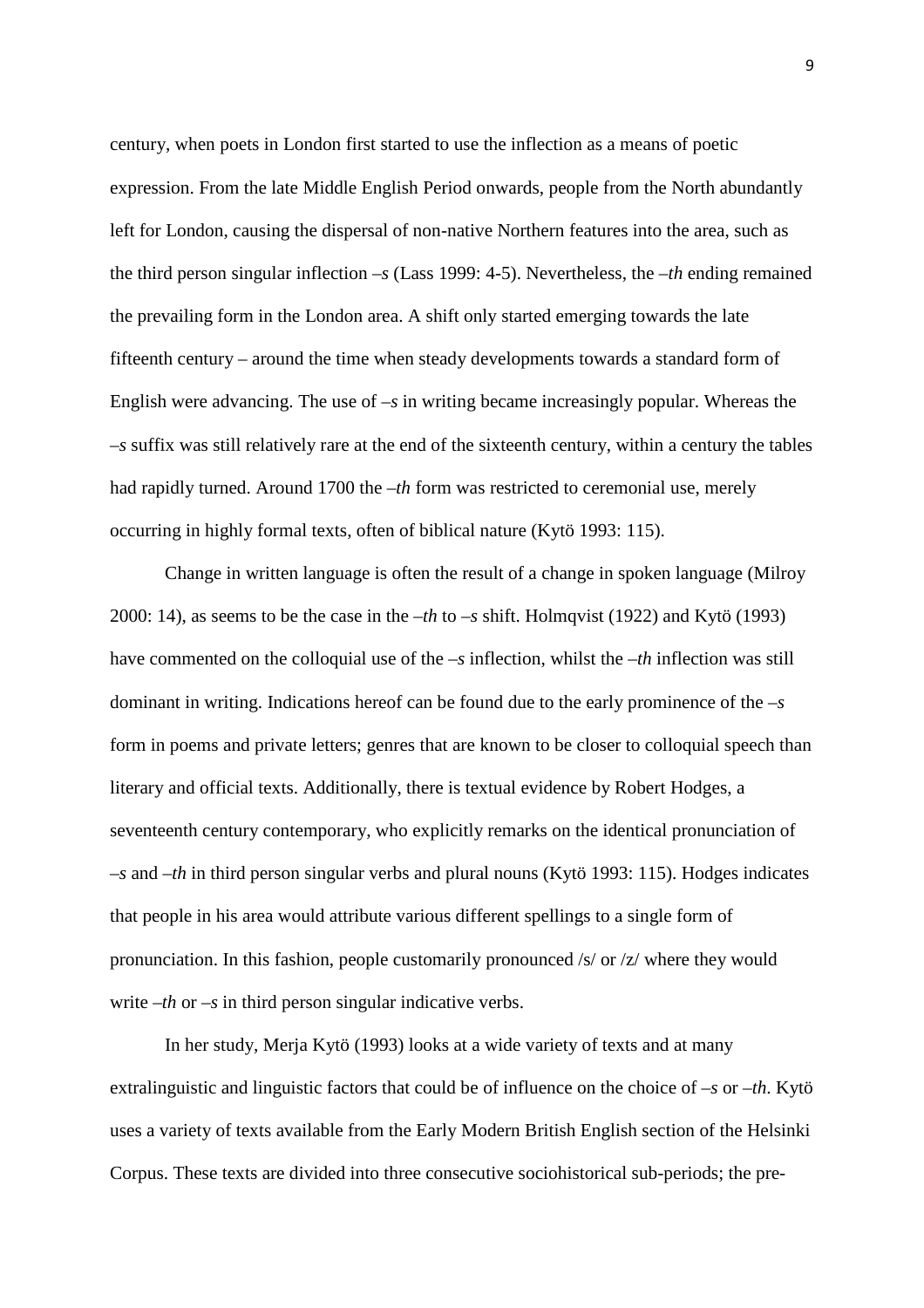century, when poets in London first started to use the inflection as a means of poetic expression. From the late Middle English Period onwards, people from the North abundantly left for London, causing the dispersal of non-native Northern features into the area, such as the third person singular inflection *–s* (Lass 1999: 4-5). Nevertheless, the *–th* ending remained the prevailing form in the London area. A shift only started emerging towards the late fifteenth century – around the time when steady developments towards a standard form of English were advancing. The use of *–s* in writing became increasingly popular. Whereas the *–s* suffix was still relatively rare at the end of the sixteenth century, within a century the tables had rapidly turned. Around 1700 the *-th* form was restricted to ceremonial use, merely occurring in highly formal texts, often of biblical nature (Kytö 1993: 115).

 Change in written language is often the result of a change in spoken language (Milroy 2000: 14), as seems to be the case in the *–th* to *–s* shift. Holmqvist (1922) and Kytö (1993) have commented on the colloquial use of the *–s* inflection, whilst the *–th* inflection was still dominant in writing. Indications hereof can be found due to the early prominence of the *–s* form in poems and private letters; genres that are known to be closer to colloquial speech than literary and official texts. Additionally, there is textual evidence by Robert Hodges, a seventeenth century contemporary, who explicitly remarks on the identical pronunciation of *–s* and *–th* in third person singular verbs and plural nouns (Kytö 1993: 115). Hodges indicates that people in his area would attribute various different spellings to a single form of pronunciation. In this fashion, people customarily pronounced /s/ or /z/ where they would write –*th* or –*s* in third person singular indicative verbs.

 In her study, Merja Kytö (1993) looks at a wide variety of texts and at many extralinguistic and linguistic factors that could be of influence on the choice of –*s* or –*th*. Kytö uses a variety of texts available from the Early Modern British English section of the Helsinki Corpus. These texts are divided into three consecutive sociohistorical sub-periods; the pre-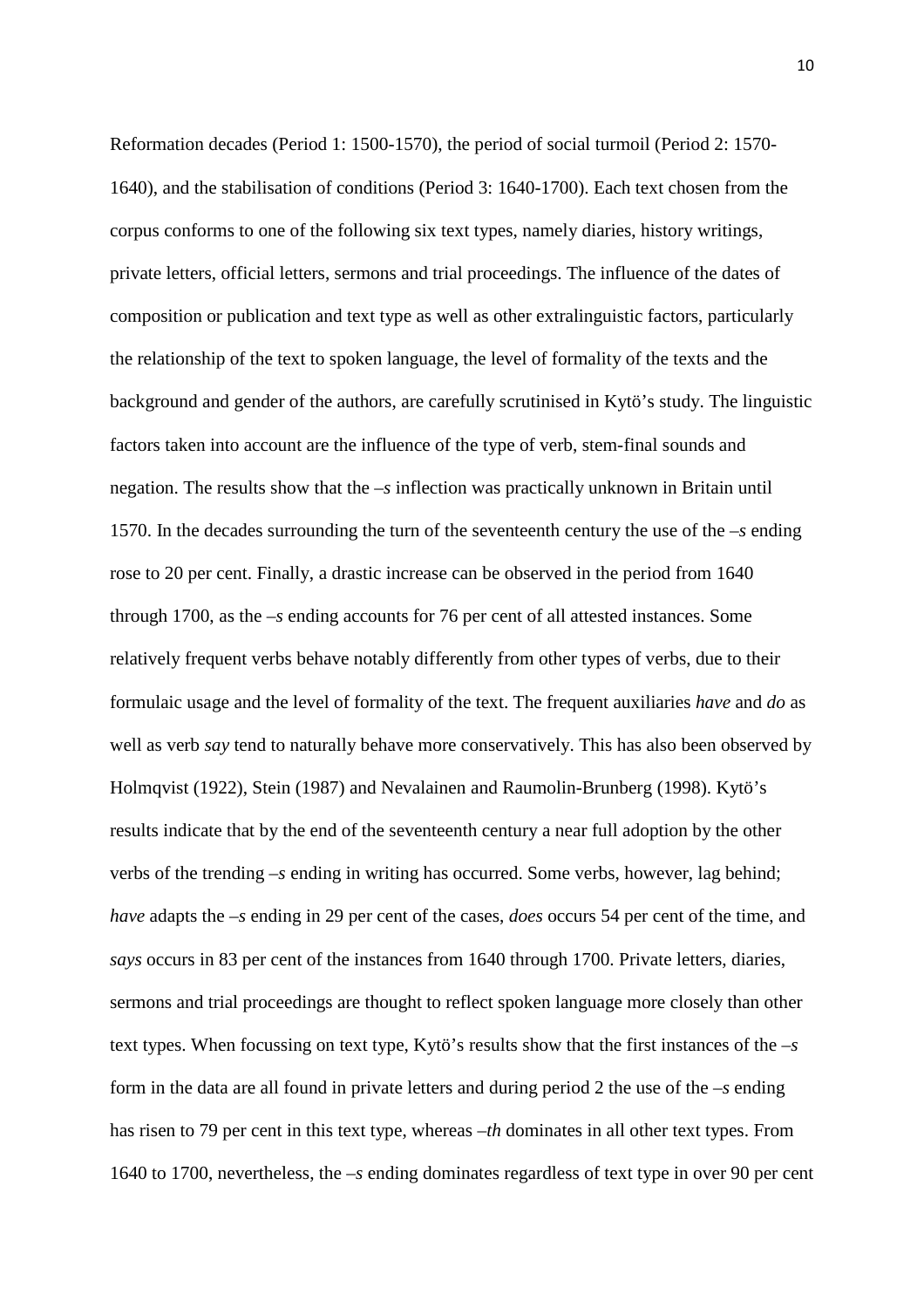Reformation decades (Period 1: 1500-1570), the period of social turmoil (Period 2: 1570- 1640), and the stabilisation of conditions (Period 3: 1640-1700). Each text chosen from the corpus conforms to one of the following six text types, namely diaries, history writings, private letters, official letters, sermons and trial proceedings. The influence of the dates of composition or publication and text type as well as other extralinguistic factors, particularly the relationship of the text to spoken language, the level of formality of the texts and the background and gender of the authors, are carefully scrutinised in Kytö's study. The linguistic factors taken into account are the influence of the type of verb, stem-final sounds and negation. The results show that the *–s* inflection was practically unknown in Britain until 1570. In the decades surrounding the turn of the seventeenth century the use of the *–s* ending rose to 20 per cent. Finally, a drastic increase can be observed in the period from 1640 through 1700, as the *–s* ending accounts for 76 per cent of all attested instances. Some relatively frequent verbs behave notably differently from other types of verbs, due to their formulaic usage and the level of formality of the text. The frequent auxiliaries *have* and *do* as well as verb *say* tend to naturally behave more conservatively. This has also been observed by Holmqvist (1922), Stein (1987) and Nevalainen and Raumolin-Brunberg (1998). Kytö's results indicate that by the end of the seventeenth century a near full adoption by the other verbs of the trending *–s* ending in writing has occurred. Some verbs, however, lag behind; *have* adapts the *–s* ending in 29 per cent of the cases, *does* occurs 54 per cent of the time, and *says* occurs in 83 per cent of the instances from 1640 through 1700. Private letters, diaries, sermons and trial proceedings are thought to reflect spoken language more closely than other text types. When focussing on text type, Kytö's results show that the first instances of the *–s* form in the data are all found in private letters and during period 2 the use of the *–s* ending has risen to 79 per cent in this text type, whereas –*th* dominates in all other text types. From 1640 to 1700, nevertheless, the *–s* ending dominates regardless of text type in over 90 per cent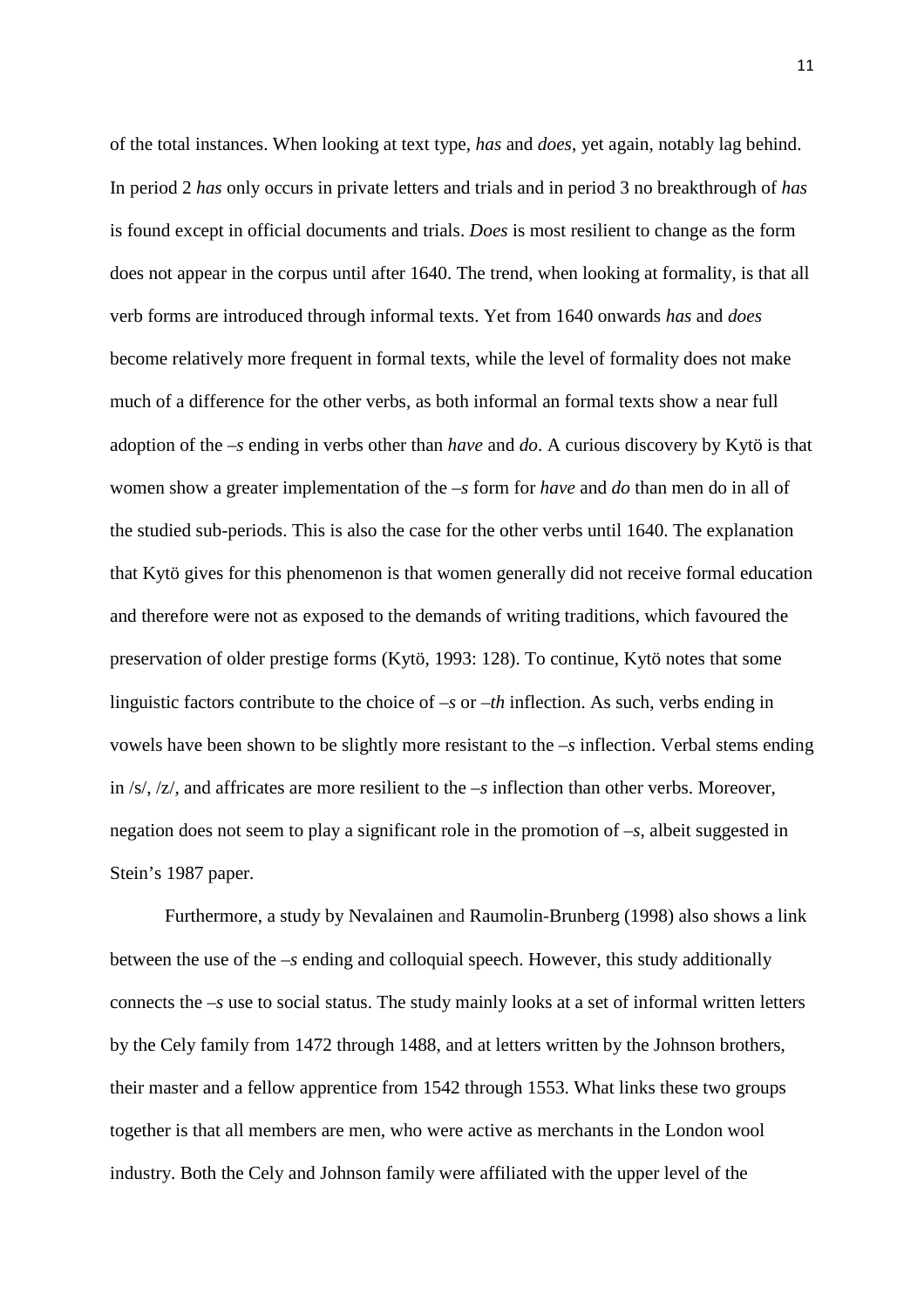of the total instances. When looking at text type, *has* and *does*, yet again, notably lag behind. In period 2 *has* only occurs in private letters and trials and in period 3 no breakthrough of *has* is found except in official documents and trials. *Does* is most resilient to change as the form does not appear in the corpus until after 1640. The trend, when looking at formality, is that all verb forms are introduced through informal texts. Yet from 1640 onwards *has* and *does* become relatively more frequent in formal texts, while the level of formality does not make much of a difference for the other verbs, as both informal an formal texts show a near full adoption of the *–s* ending in verbs other than *have* and *do*. A curious discovery by Kytö is that women show a greater implementation of the *–s* form for *have* and *do* than men do in all of the studied sub-periods. This is also the case for the other verbs until 1640. The explanation that Kytö gives for this phenomenon is that women generally did not receive formal education and therefore were not as exposed to the demands of writing traditions, which favoured the preservation of older prestige forms (Kytö, 1993: 128). To continue, Kytö notes that some linguistic factors contribute to the choice of *–s* or *–th* inflection. As such, verbs ending in vowels have been shown to be slightly more resistant to the –*s* inflection. Verbal stems ending in /s/, /z/, and affricates are more resilient to the *–s* inflection than other verbs. Moreover, negation does not seem to play a significant role in the promotion of *–s*, albeit suggested in Stein's 1987 paper.

 Furthermore, a study by Nevalainen and Raumolin-Brunberg (1998) also shows a link between the use of the *–s* ending and colloquial speech. However, this study additionally connects the  $-s$  use to social status. The study mainly looks at a set of informal written letters by the Cely family from 1472 through 1488, and at letters written by the Johnson brothers, their master and a fellow apprentice from 1542 through 1553. What links these two groups together is that all members are men, who were active as merchants in the London wool industry. Both the Cely and Johnson family were affiliated with the upper level of the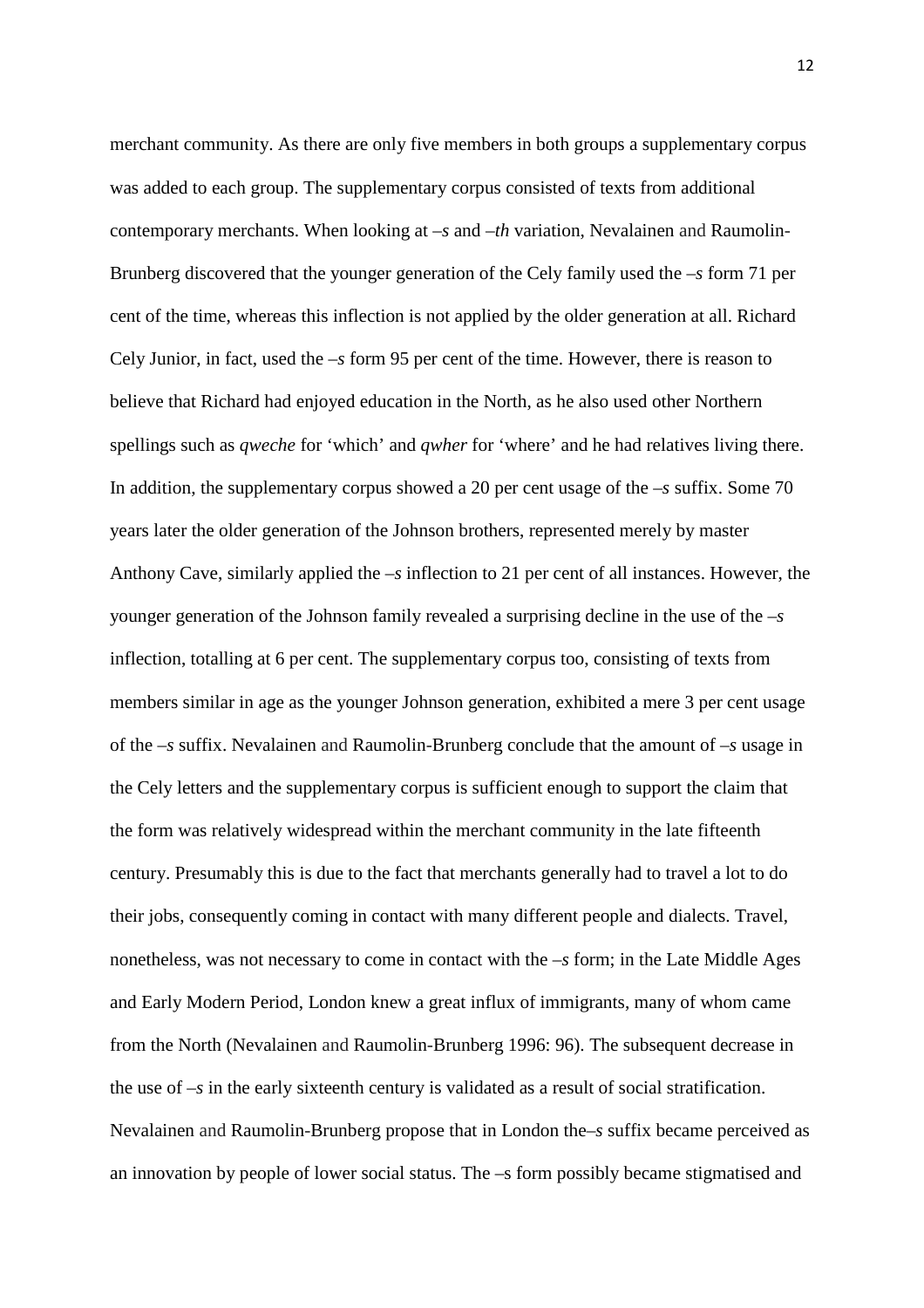merchant community. As there are only five members in both groups a supplementary corpus was added to each group. The supplementary corpus consisted of texts from additional contemporary merchants. When looking at *–s* and *–th* variation, Nevalainen and Raumolin-Brunberg discovered that the younger generation of the Cely family used the *–s* form 71 per cent of the time, whereas this inflection is not applied by the older generation at all. Richard Cely Junior, in fact, used the *–s* form 95 per cent of the time. However, there is reason to believe that Richard had enjoyed education in the North, as he also used other Northern spellings such as *qweche* for 'which' and *qwher* for 'where' and he had relatives living there. In addition, the supplementary corpus showed a 20 per cent usage of the *–s* suffix. Some 70 years later the older generation of the Johnson brothers, represented merely by master Anthony Cave, similarly applied the *–s* inflection to 21 per cent of all instances. However, the younger generation of the Johnson family revealed a surprising decline in the use of the *–s* inflection, totalling at 6 per cent. The supplementary corpus too, consisting of texts from members similar in age as the younger Johnson generation, exhibited a mere 3 per cent usage of the *–s* suffix. Nevalainen and Raumolin-Brunberg conclude that the amount of *–s* usage in the Cely letters and the supplementary corpus is sufficient enough to support the claim that the form was relatively widespread within the merchant community in the late fifteenth century. Presumably this is due to the fact that merchants generally had to travel a lot to do their jobs, consequently coming in contact with many different people and dialects. Travel, nonetheless, was not necessary to come in contact with the *–s* form; in the Late Middle Ages and Early Modern Period, London knew a great influx of immigrants, many of whom came from the North (Nevalainen and Raumolin-Brunberg 1996: 96). The subsequent decrease in the use of *–s* in the early sixteenth century is validated as a result of social stratification. Nevalainen and Raumolin-Brunberg propose that in London the*–s* suffix became perceived as an innovation by people of lower social status. The –s form possibly became stigmatised and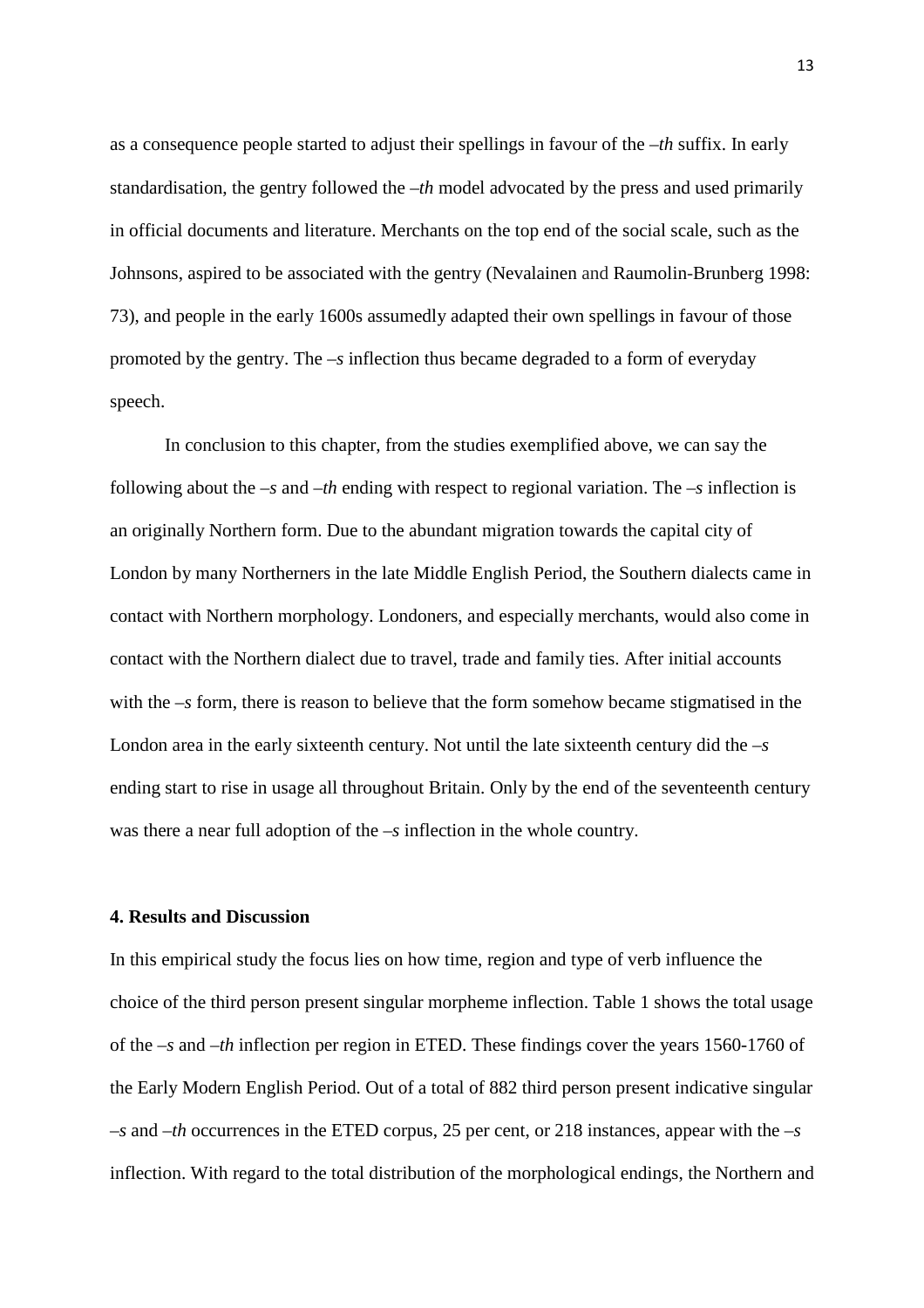as a consequence people started to adjust their spellings in favour of the *–th* suffix. In early standardisation, the gentry followed the *–th* model advocated by the press and used primarily in official documents and literature. Merchants on the top end of the social scale, such as the Johnsons, aspired to be associated with the gentry (Nevalainen and Raumolin-Brunberg 1998: 73), and people in the early 1600s assumedly adapted their own spellings in favour of those promoted by the gentry. The *–s* inflection thus became degraded to a form of everyday speech.

 In conclusion to this chapter, from the studies exemplified above, we can say the following about the *–s* and –*th* ending with respect to regional variation. The –*s* inflection is an originally Northern form. Due to the abundant migration towards the capital city of London by many Northerners in the late Middle English Period, the Southern dialects came in contact with Northern morphology. Londoners, and especially merchants, would also come in contact with the Northern dialect due to travel, trade and family ties. After initial accounts with the –*s* form, there is reason to believe that the form somehow became stigmatised in the London area in the early sixteenth century. Not until the late sixteenth century did the –*s* ending start to rise in usage all throughout Britain. Only by the end of the seventeenth century was there a near full adoption of the –*s* inflection in the whole country.

### **4. Results and Discussion**

In this empirical study the focus lies on how time, region and type of verb influence the choice of the third person present singular morpheme inflection. Table 1 shows the total usage of the *–s* and *–th* inflection per region in ETED. These findings cover the years 1560-1760 of the Early Modern English Period. Out of a total of 882 third person present indicative singular *–s* and –*th* occurrences in the ETED corpus, 25 per cent, or 218 instances, appear with the *–s* inflection. With regard to the total distribution of the morphological endings, the Northern and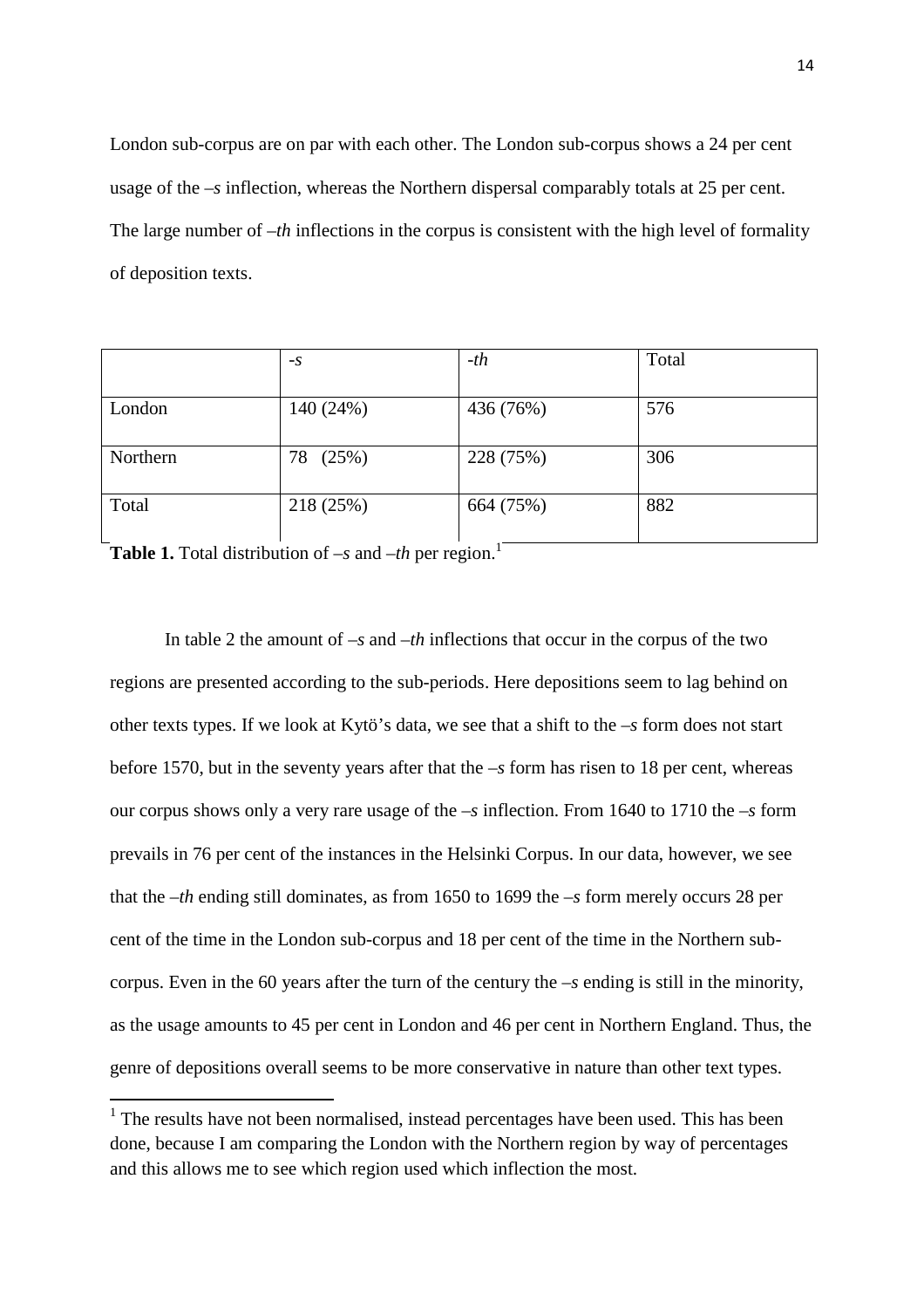London sub-corpus are on par with each other. The London sub-corpus shows a 24 per cent usage of the *–s* inflection, whereas the Northern dispersal comparably totals at 25 per cent. The large number of *–th* inflections in the corpus is consistent with the high level of formality of deposition texts.

|          | $-S$        | $-th$     | Total |
|----------|-------------|-----------|-------|
| London   | 140 (24%)   | 436 (76%) | 576   |
| Northern | (25%)<br>78 | 228 (75%) | 306   |
| Total    | 218 (25%)   | 664 (75%) | 882   |

**Table 1.** Total distribution of  $-s$  and  $-th$  per region.<sup>1</sup>

l

 In table 2 the amount of *–s* and *–th* inflections that occur in the corpus of the two regions are presented according to the sub-periods. Here depositions seem to lag behind on other texts types. If we look at Kytö's data, we see that a shift to the *–s* form does not start before 1570, but in the seventy years after that the –*s* form has risen to 18 per cent, whereas our corpus shows only a very rare usage of the –*s* inflection. From 1640 to 1710 the –*s* form prevails in 76 per cent of the instances in the Helsinki Corpus. In our data, however, we see that the –*th* ending still dominates, as from 1650 to 1699 the –*s* form merely occurs 28 per cent of the time in the London sub-corpus and 18 per cent of the time in the Northern subcorpus. Even in the 60 years after the turn of the century the –*s* ending is still in the minority, as the usage amounts to 45 per cent in London and 46 per cent in Northern England. Thus, the genre of depositions overall seems to be more conservative in nature than other text types.

<sup>&</sup>lt;sup>1</sup> The results have not been normalised, instead percentages have been used. This has been done, because I am comparing the London with the Northern region by way of percentages and this allows me to see which region used which inflection the most.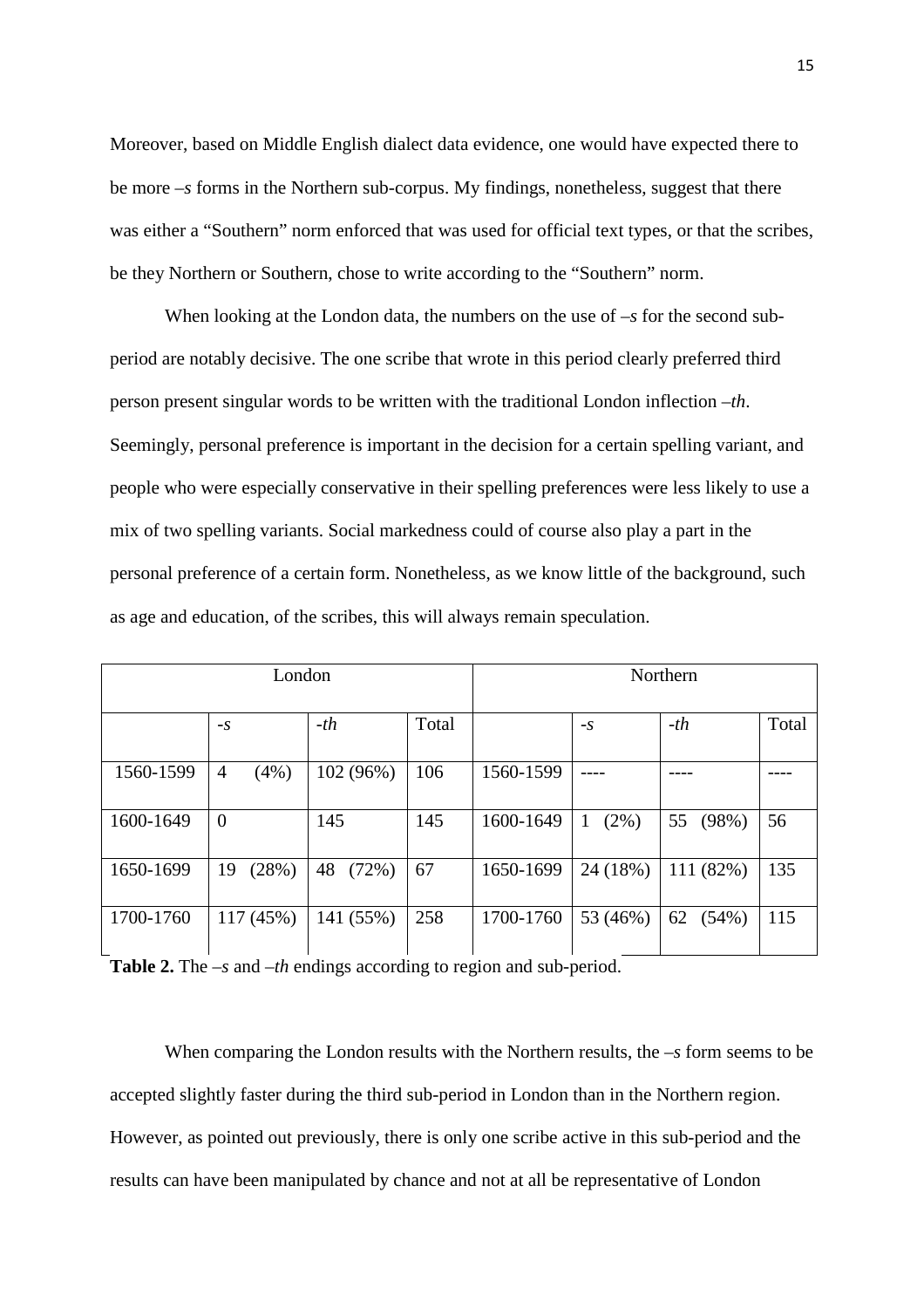Moreover, based on Middle English dialect data evidence, one would have expected there to be more –*s* forms in the Northern sub-corpus. My findings, nonetheless, suggest that there was either a "Southern" norm enforced that was used for official text types, or that the scribes, be they Northern or Southern, chose to write according to the "Southern" norm.

When looking at the London data, the numbers on the use of  $-s$  for the second subperiod are notably decisive. The one scribe that wrote in this period clearly preferred third person present singular words to be written with the traditional London inflection –*th*. Seemingly, personal preference is important in the decision for a certain spelling variant, and people who were especially conservative in their spelling preferences were less likely to use a mix of two spelling variants. Social markedness could of course also play a part in the personal preference of a certain form. Nonetheless, as we know little of the background, such as age and education, of the scribes, this will always remain speculation.

| London    |                        |             | Northern |           |              |             |       |
|-----------|------------------------|-------------|----------|-----------|--------------|-------------|-------|
|           | $-S$                   | $-th$       | Total    |           | $-S$         | $-th$       | Total |
| 1560-1599 | $\overline{4}$<br>(4%) | 102 (96%)   | 106      | 1560-1599 |              |             |       |
| 1600-1649 | $\overline{0}$         | 145         | 145      | 1600-1649 | $(2\%)$<br>1 | 55<br>(98%) | 56    |
| 1650-1699 | (28%)<br>19            | 48<br>(72%) | 67       | 1650-1699 | 24 (18%)     | 111 (82%)   | 135   |
| 1700-1760 | 117 (45%)              | 141 (55%)   | 258      | 1700-1760 | 53 (46%)     | 62<br>(54%) | 115   |

**Table 2.** The –*s* and –*th* endings according to region and sub-period.

When comparing the London results with the Northern results, the  $-s$  form seems to be accepted slightly faster during the third sub-period in London than in the Northern region. However, as pointed out previously, there is only one scribe active in this sub-period and the results can have been manipulated by chance and not at all be representative of London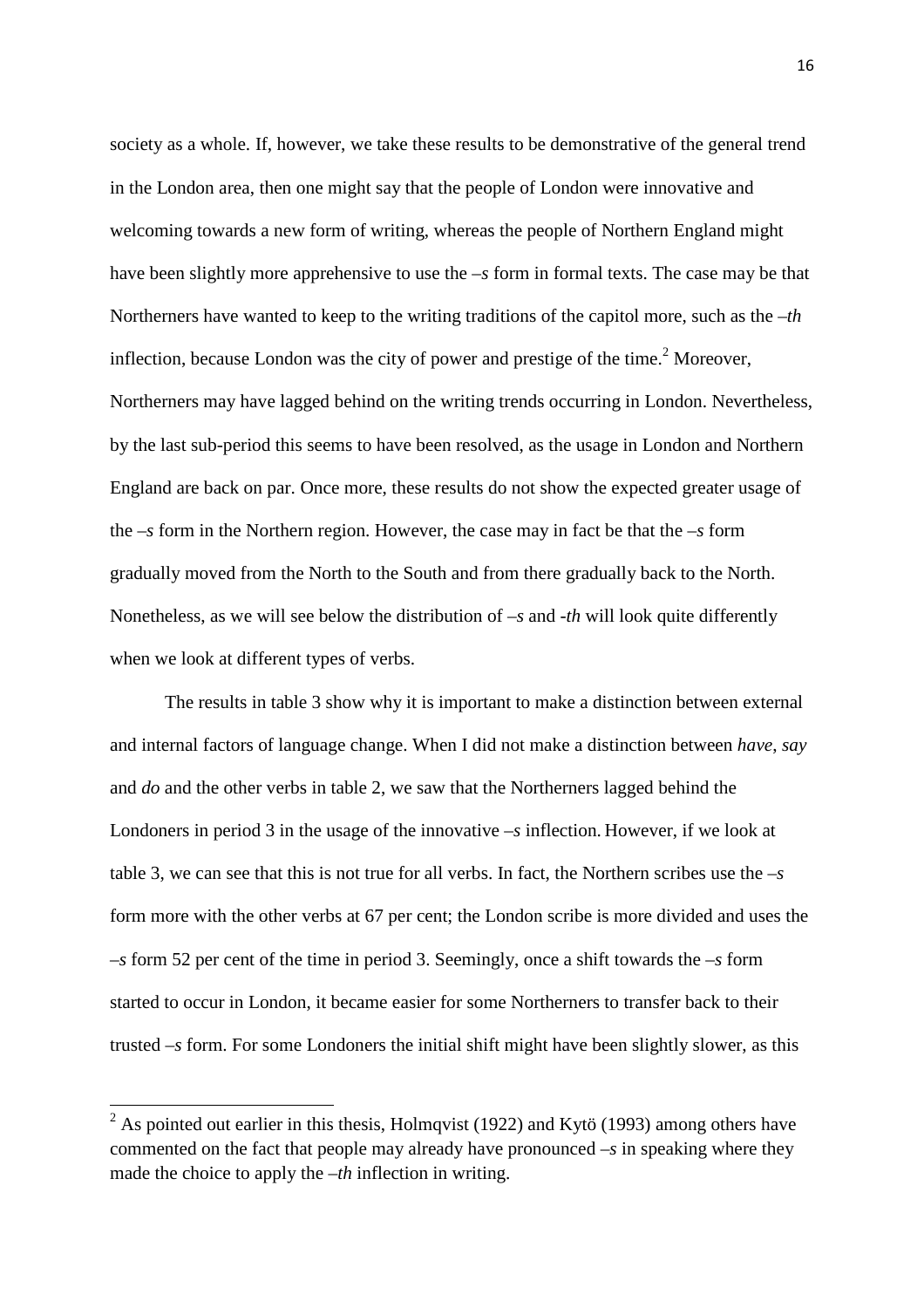society as a whole. If, however, we take these results to be demonstrative of the general trend in the London area, then one might say that the people of London were innovative and welcoming towards a new form of writing, whereas the people of Northern England might have been slightly more apprehensive to use the  $-s$  form in formal texts. The case may be that Northerners have wanted to keep to the writing traditions of the capitol more, such as the –*th* inflection, because London was the city of power and prestige of the time.<sup>2</sup> Moreover, Northerners may have lagged behind on the writing trends occurring in London. Nevertheless, by the last sub-period this seems to have been resolved, as the usage in London and Northern England are back on par. Once more, these results do not show the expected greater usage of the –*s* form in the Northern region. However, the case may in fact be that the –*s* form gradually moved from the North to the South and from there gradually back to the North. Nonetheless, as we will see below the distribution of *–s* and -*th* will look quite differently when we look at different types of verbs.

 The results in table 3 show why it is important to make a distinction between external and internal factors of language change. When I did not make a distinction between *have*, *say* and *do* and the other verbs in table 2, we saw that the Northerners lagged behind the Londoners in period 3 in the usage of the innovative –*s* inflection. However, if we look at table 3, we can see that this is not true for all verbs. In fact, the Northern scribes use the –*s* form more with the other verbs at 67 per cent; the London scribe is more divided and uses the –*s* form 52 per cent of the time in period 3. Seemingly, once a shift towards the –*s* form started to occur in London, it became easier for some Northerners to transfer back to their trusted –*s* form. For some Londoners the initial shift might have been slightly slower, as this

l

 $2^2$  As pointed out earlier in this thesis, Holmqvist (1922) and Kytö (1993) among others have commented on the fact that people may already have pronounced –*s* in speaking where they made the choice to apply the –*th* inflection in writing.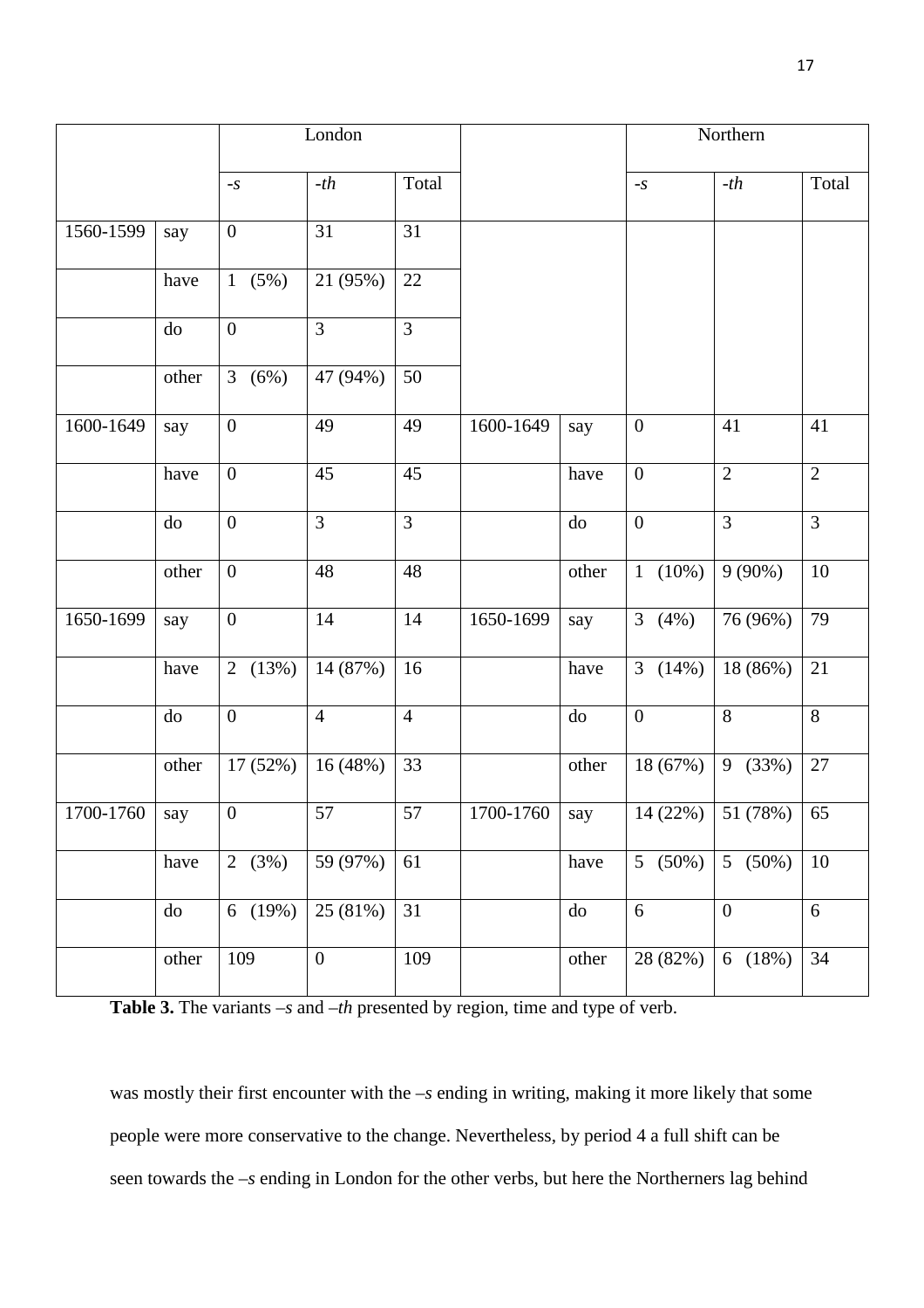|           |       | London                  |                  |                |           | Northern   |                             |                  |                |
|-----------|-------|-------------------------|------------------|----------------|-----------|------------|-----------------------------|------------------|----------------|
|           |       | $\textbf{-} \textbf{S}$ | $-th$            | Total          |           |            | $\textnormal{-}\mathcal{S}$ | $-th$            | Total          |
| 1560-1599 | say   | $\boldsymbol{0}$        | 31               | 31             |           |            |                             |                  |                |
|           | have  | 1(5%)                   | 21 (95%)         | 22             |           |            |                             |                  |                |
|           | do    | $\boldsymbol{0}$        | 3                | 3              |           |            |                             |                  |                |
|           | other | 3(6%)                   | 47 (94%)         | 50             |           |            |                             |                  |                |
| 1600-1649 | say   | $\boldsymbol{0}$        | 49               | 49             | 1600-1649 | say        | $\boldsymbol{0}$            | 41               | 41             |
|           | have  | $\boldsymbol{0}$        | 45               | 45             |           | have       | $\boldsymbol{0}$            | $\overline{2}$   | $\overline{2}$ |
|           | do    | $\boldsymbol{0}$        | $\overline{3}$   | $\overline{3}$ |           | do         | $\overline{0}$              | $\overline{3}$   | $\overline{3}$ |
|           | other | $\boldsymbol{0}$        | 48               | 48             |           | other      | $1(10\%)$                   | $9(90\%)$        | 10             |
| 1650-1699 | say   | $\boldsymbol{0}$        | 14               | 14             | 1650-1699 | say        | 3 $(4\%)$                   | 76 (96%)         | 79             |
|           | have  | 2 $(13%)$               | $14(87\%)$       | 16             |           | have       | 3 $(14%)$                   | 18 (86%)         | 21             |
|           | do    | $\boldsymbol{0}$        | $\overline{4}$   | $\overline{4}$ |           | ${\rm do}$ | $\boldsymbol{0}$            | 8                | $8\,$          |
|           | other | 17 (52%)                | 16(48%)          | 33             |           | other      | 18 (67%)                    | 9 (33%)          | $27\,$         |
| 1700-1760 | say   | $\overline{0}$          | 57               | 57             | 1700-1760 | say        | 14 (22%)                    | 51 (78%)         | 65             |
|           | have  | 2 $(3%)$                | 59 (97%)         | 61             |           | have       | 5 $(50\%)$                  | 5 $(50\%)$       | 10             |
|           | do    | 6(19%)                  | 25(81%)          | 31             |           | do         | 6                           | $\boldsymbol{0}$ | 6              |
|           | other | 109                     | $\boldsymbol{0}$ | 109            |           | other      | 28 (82%)                    | 6(18%)           | 34             |

**Table 3.** The variants –*s* and –*th* presented by region, time and type of verb.

was mostly their first encounter with the –*s* ending in writing, making it more likely that some people were more conservative to the change. Nevertheless, by period 4 a full shift can be seen towards the –*s* ending in London for the other verbs, but here the Northerners lag behind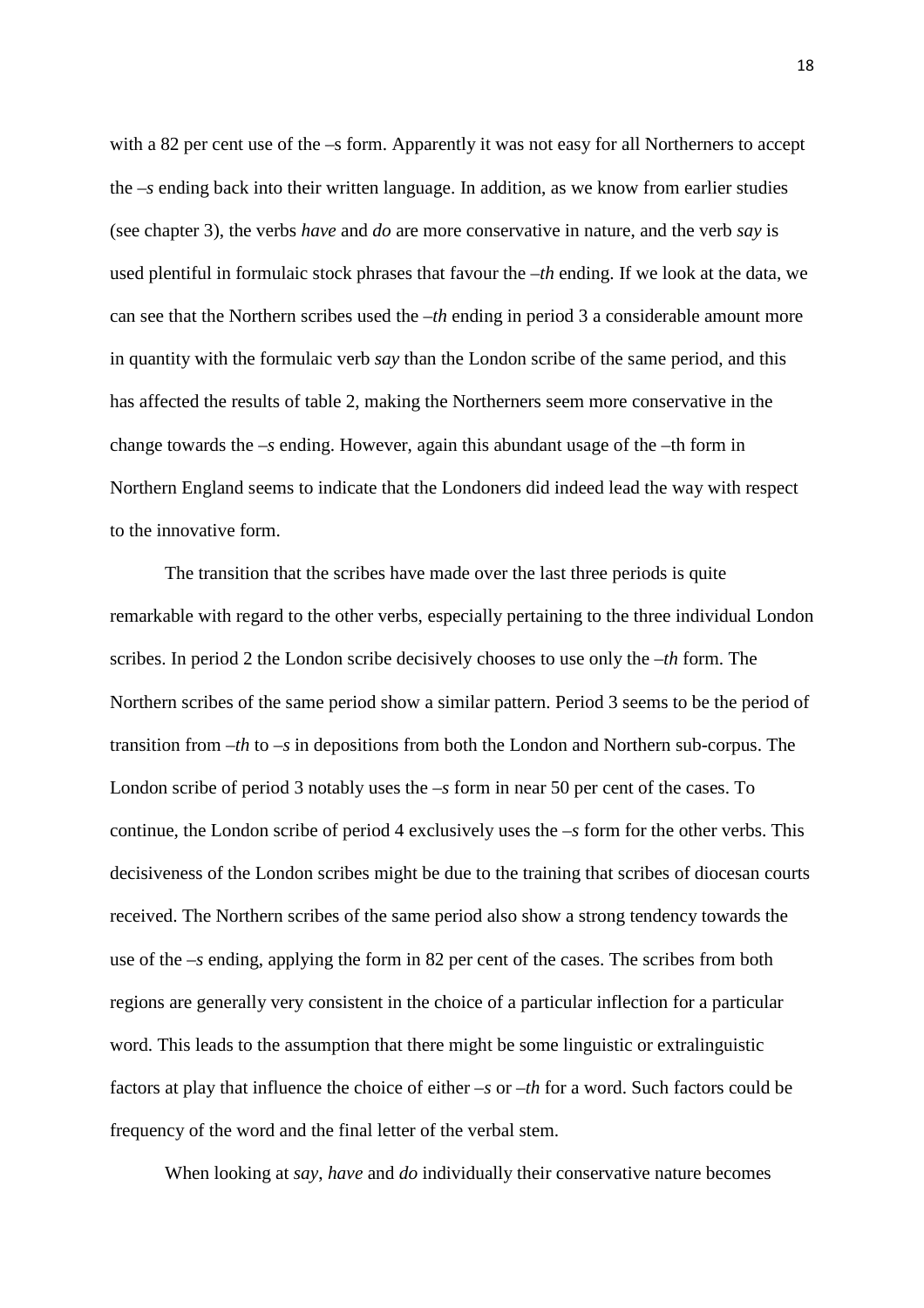with a 82 per cent use of the –s form. Apparently it was not easy for all Northerners to accept the –*s* ending back into their written language. In addition, as we know from earlier studies (see chapter 3), the verbs *have* and *do* are more conservative in nature, and the verb *say* is used plentiful in formulaic stock phrases that favour the –*th* ending. If we look at the data, we can see that the Northern scribes used the –*th* ending in period 3 a considerable amount more in quantity with the formulaic verb *say* than the London scribe of the same period, and this has affected the results of table 2, making the Northerners seem more conservative in the change towards the –*s* ending. However, again this abundant usage of the –th form in Northern England seems to indicate that the Londoners did indeed lead the way with respect to the innovative form.

 The transition that the scribes have made over the last three periods is quite remarkable with regard to the other verbs, especially pertaining to the three individual London scribes. In period 2 the London scribe decisively chooses to use only the –*th* form. The Northern scribes of the same period show a similar pattern. Period 3 seems to be the period of transition from –*th* to –*s* in depositions from both the London and Northern sub-corpus. The London scribe of period 3 notably uses the –*s* form in near 50 per cent of the cases. To continue, the London scribe of period 4 exclusively uses the –*s* form for the other verbs. This decisiveness of the London scribes might be due to the training that scribes of diocesan courts received. The Northern scribes of the same period also show a strong tendency towards the use of the –*s* ending, applying the form in 82 per cent of the cases. The scribes from both regions are generally very consistent in the choice of a particular inflection for a particular word. This leads to the assumption that there might be some linguistic or extralinguistic factors at play that influence the choice of either –*s* or –*th* for a word. Such factors could be frequency of the word and the final letter of the verbal stem.

When looking at *say*, *have* and *do* individually their conservative nature becomes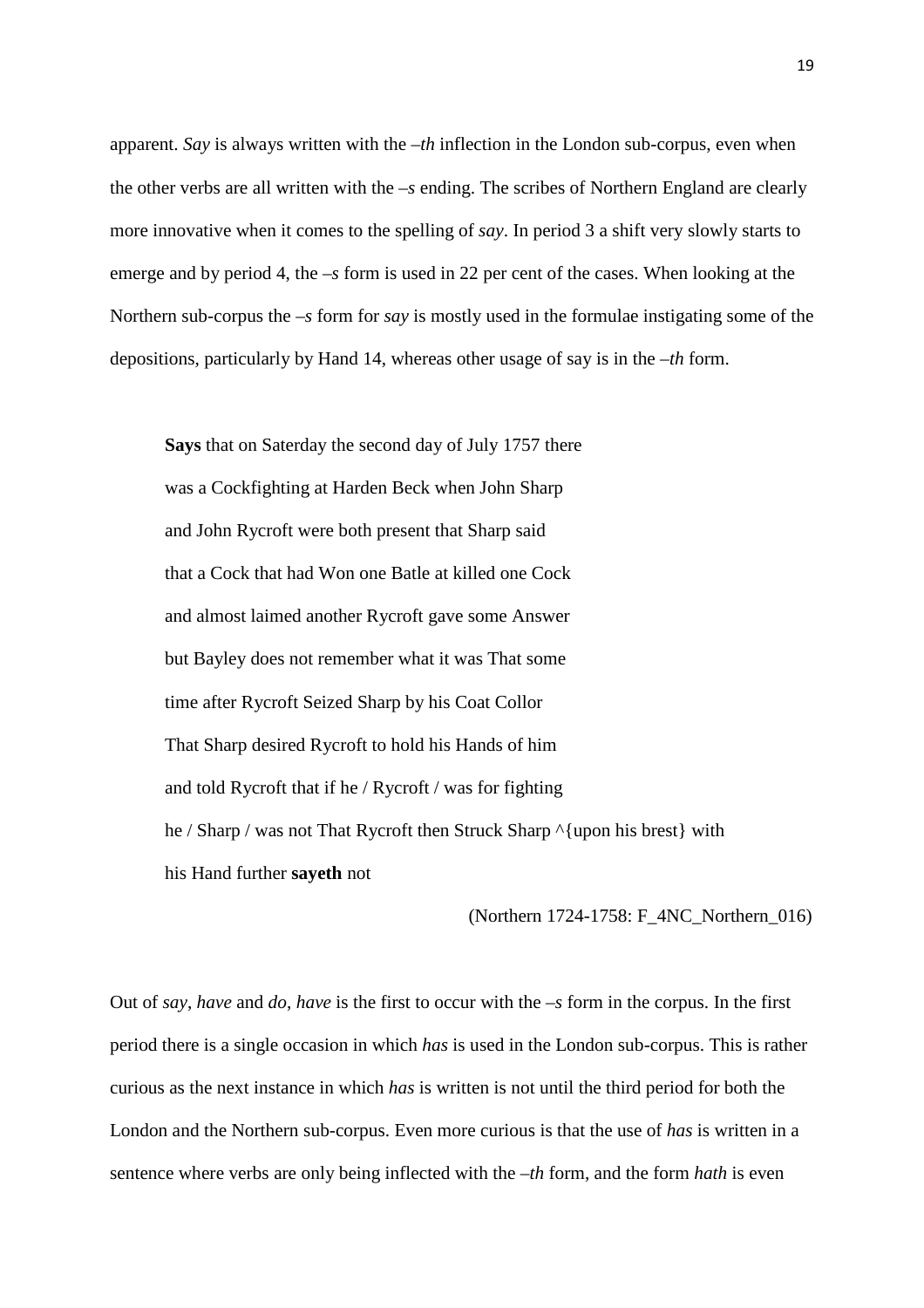apparent. *Say* is always written with the –*th* inflection in the London sub-corpus, even when the other verbs are all written with the –*s* ending. The scribes of Northern England are clearly more innovative when it comes to the spelling of *say*. In period 3 a shift very slowly starts to emerge and by period 4, the –*s* form is used in 22 per cent of the cases. When looking at the Northern sub-corpus the –*s* form for *say* is mostly used in the formulae instigating some of the depositions, particularly by Hand 14, whereas other usage of say is in the –*th* form.

 **Says** that on Saterday the second day of July 1757 there was a Cockfighting at Harden Beck when John Sharp and John Rycroft were both present that Sharp said that a Cock that had Won one Batle at killed one Cock and almost laimed another Rycroft gave some Answer but Bayley does not remember what it was That some time after Rycroft Seized Sharp by his Coat Collor That Sharp desired Rycroft to hold his Hands of him and told Rycroft that if he / Rycroft / was for fighting he / Sharp / was not That Rycroft then Struck Sharp ^{upon his brest} with his Hand further **sayeth** not

(Northern 1724-1758: F\_4NC\_Northern\_016)

Out of *say*, *have* and *do*, *have* is the first to occur with the –*s* form in the corpus. In the first period there is a single occasion in which *has* is used in the London sub-corpus. This is rather curious as the next instance in which *has* is written is not until the third period for both the London and the Northern sub-corpus. Even more curious is that the use of *has* is written in a sentence where verbs are only being inflected with the –*th* form, and the form *hath* is even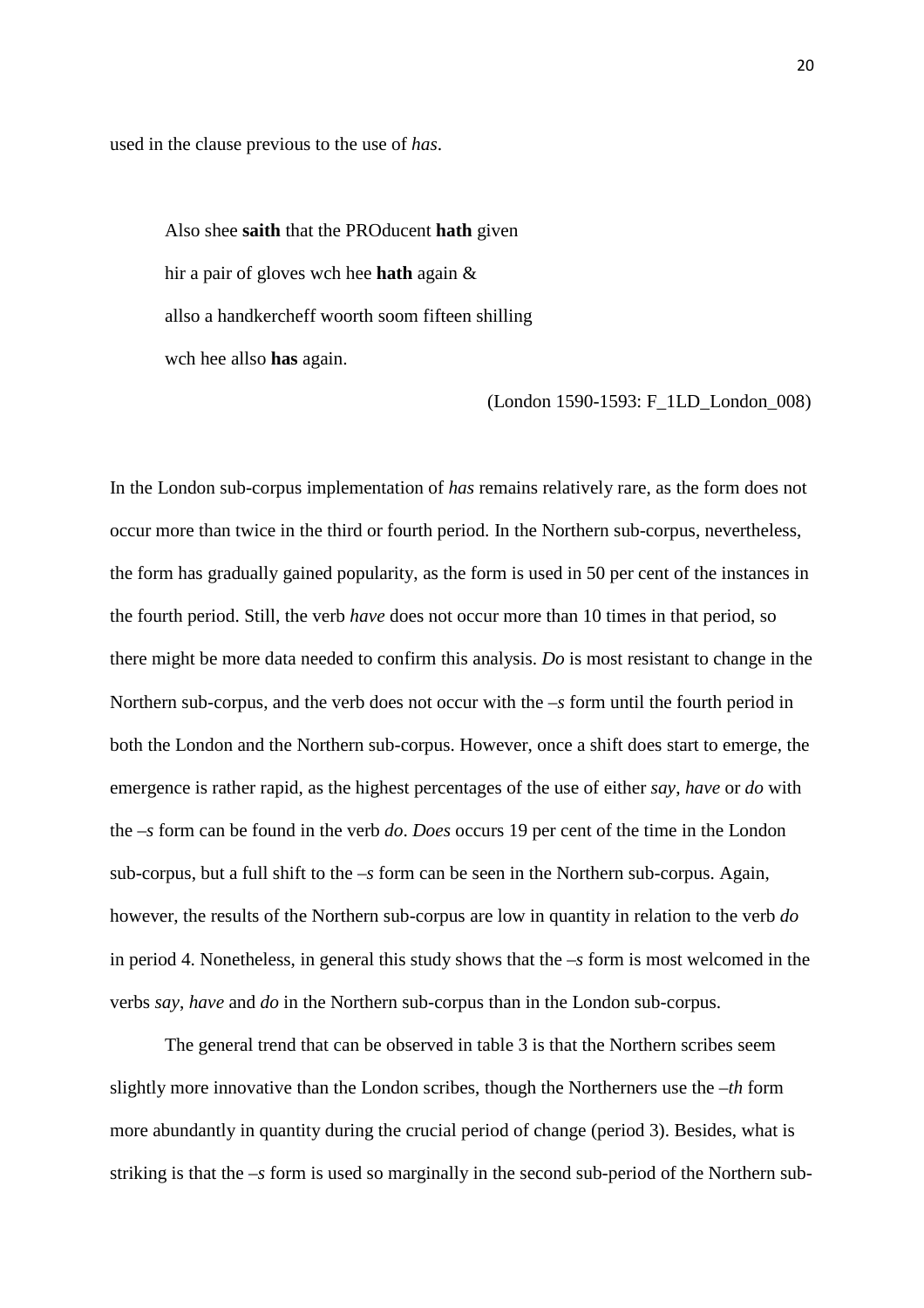used in the clause previous to the use of *has*.

 Also shee **saith** that the PROducent **hath** given hir a pair of gloves wch hee **hath** again & allso a handkercheff woorth soom fifteen shilling wch hee allso **has** again.

(London 1590-1593: F\_1LD\_London\_008)

In the London sub-corpus implementation of *has* remains relatively rare, as the form does not occur more than twice in the third or fourth period. In the Northern sub-corpus, nevertheless, the form has gradually gained popularity, as the form is used in 50 per cent of the instances in the fourth period. Still, the verb *have* does not occur more than 10 times in that period, so there might be more data needed to confirm this analysis. *Do* is most resistant to change in the Northern sub-corpus, and the verb does not occur with the –*s* form until the fourth period in both the London and the Northern sub-corpus. However, once a shift does start to emerge, the emergence is rather rapid, as the highest percentages of the use of either *say*, *have* or *do* with the –*s* form can be found in the verb *do*. *Does* occurs 19 per cent of the time in the London sub-corpus, but a full shift to the –*s* form can be seen in the Northern sub-corpus. Again, however, the results of the Northern sub-corpus are low in quantity in relation to the verb *do* in period 4. Nonetheless, in general this study shows that the –*s* form is most welcomed in the verbs *say*, *have* and *do* in the Northern sub-corpus than in the London sub-corpus.

 The general trend that can be observed in table 3 is that the Northern scribes seem slightly more innovative than the London scribes, though the Northerners use the –*th* form more abundantly in quantity during the crucial period of change (period 3). Besides, what is striking is that the –*s* form is used so marginally in the second sub-period of the Northern sub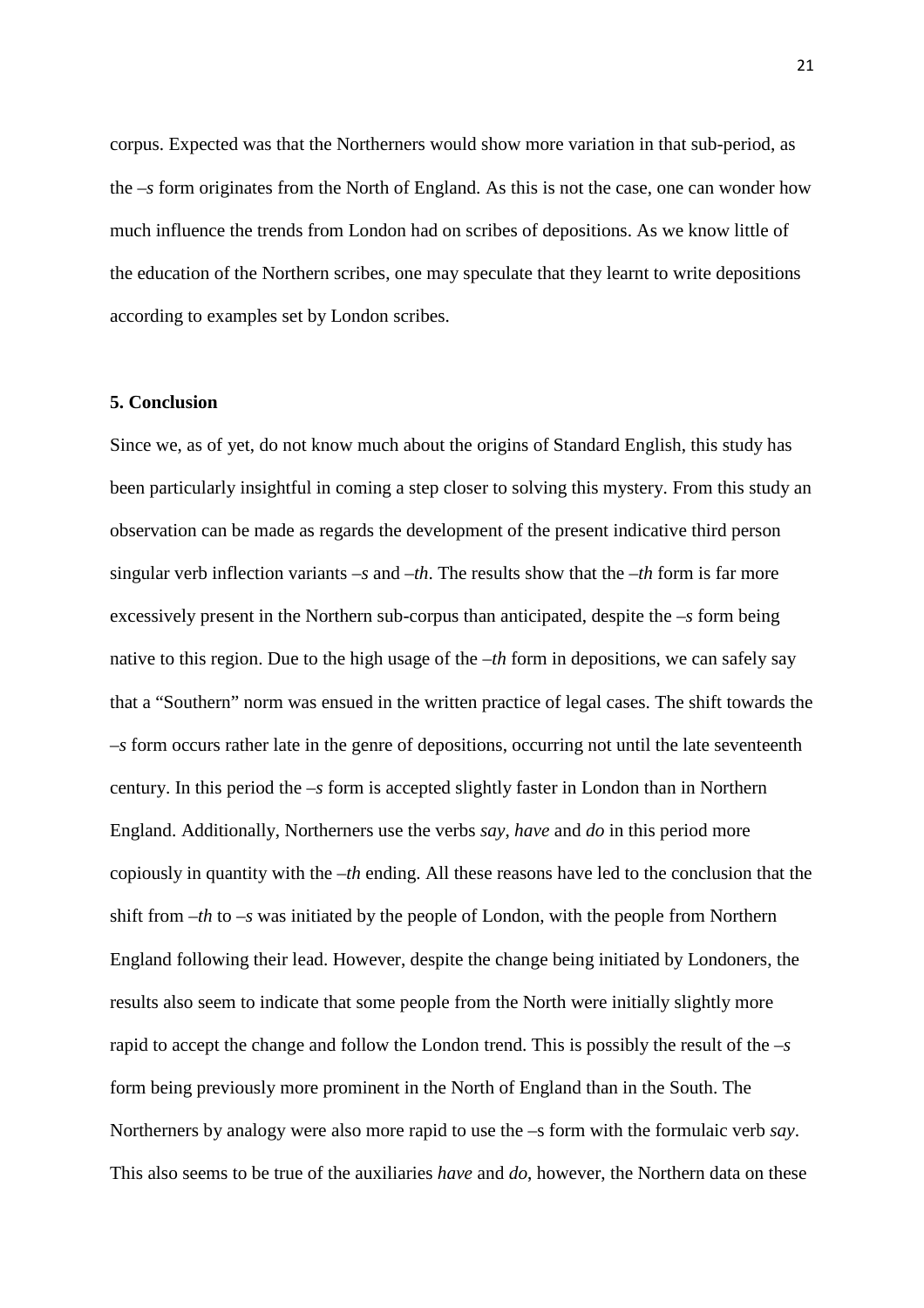corpus. Expected was that the Northerners would show more variation in that sub-period, as the –*s* form originates from the North of England. As this is not the case, one can wonder how much influence the trends from London had on scribes of depositions. As we know little of the education of the Northern scribes, one may speculate that they learnt to write depositions according to examples set by London scribes.

#### **5. Conclusion**

Since we, as of yet, do not know much about the origins of Standard English, this study has been particularly insightful in coming a step closer to solving this mystery. From this study an observation can be made as regards the development of the present indicative third person singular verb inflection variants –*s* and –*th*. The results show that the –*th* form is far more excessively present in the Northern sub-corpus than anticipated, despite the –*s* form being native to this region. Due to the high usage of the –*th* form in depositions, we can safely say that a "Southern" norm was ensued in the written practice of legal cases. The shift towards the –*s* form occurs rather late in the genre of depositions, occurring not until the late seventeenth century. In this period the –*s* form is accepted slightly faster in London than in Northern England. Additionally, Northerners use the verbs *say*, *have* and *do* in this period more copiously in quantity with the –*th* ending. All these reasons have led to the conclusion that the shift from –*th* to –*s* was initiated by the people of London, with the people from Northern England following their lead. However, despite the change being initiated by Londoners, the results also seem to indicate that some people from the North were initially slightly more rapid to accept the change and follow the London trend. This is possibly the result of the –*s* form being previously more prominent in the North of England than in the South. The Northerners by analogy were also more rapid to use the –s form with the formulaic verb *say*. This also seems to be true of the auxiliaries *have* and *do*, however, the Northern data on these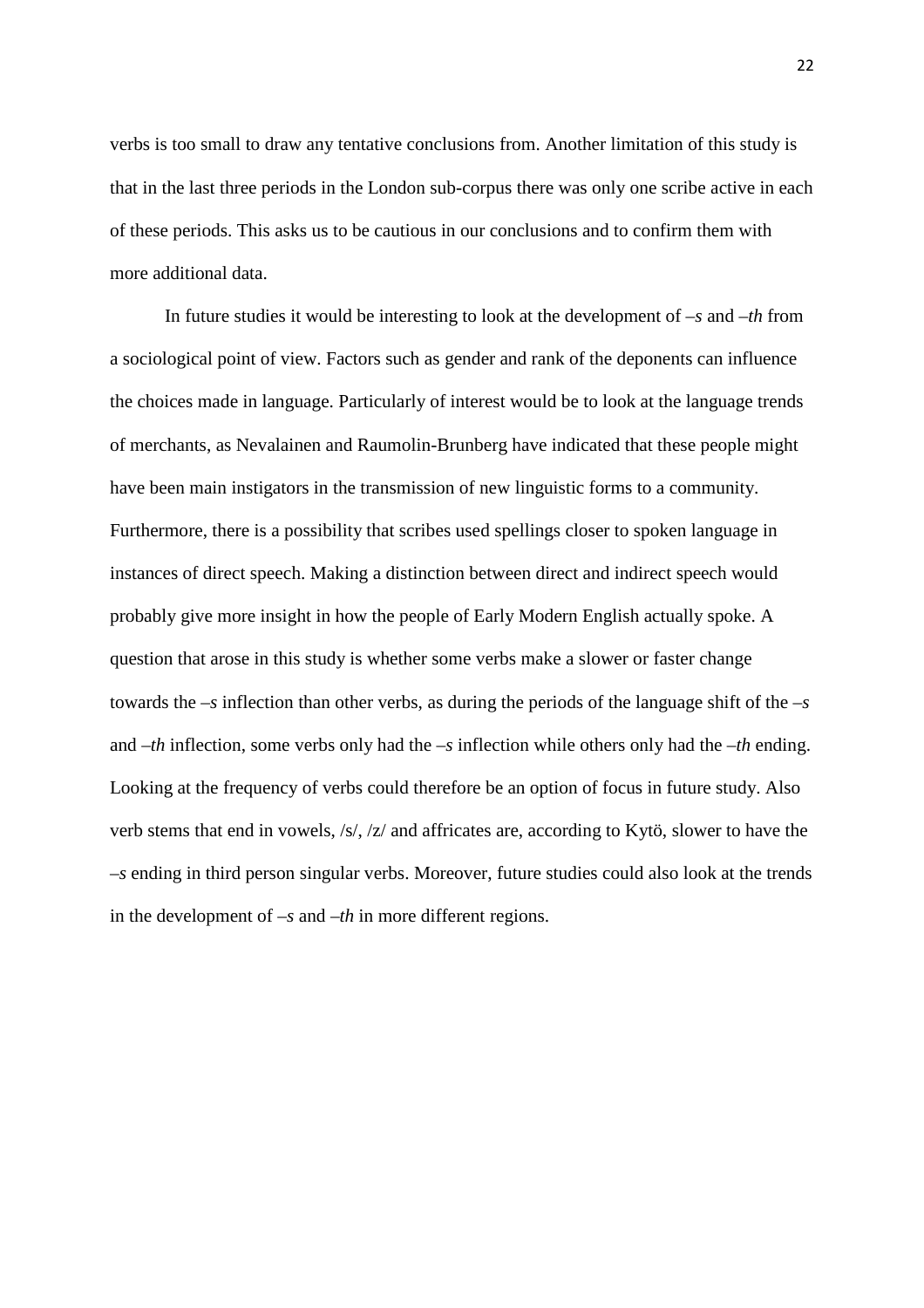verbs is too small to draw any tentative conclusions from. Another limitation of this study is that in the last three periods in the London sub-corpus there was only one scribe active in each of these periods. This asks us to be cautious in our conclusions and to confirm them with more additional data.

 In future studies it would be interesting to look at the development of –*s* and –*th* from a sociological point of view. Factors such as gender and rank of the deponents can influence the choices made in language. Particularly of interest would be to look at the language trends of merchants, as Nevalainen and Raumolin-Brunberg have indicated that these people might have been main instigators in the transmission of new linguistic forms to a community. Furthermore, there is a possibility that scribes used spellings closer to spoken language in instances of direct speech. Making a distinction between direct and indirect speech would probably give more insight in how the people of Early Modern English actually spoke. A question that arose in this study is whether some verbs make a slower or faster change towards the –*s* inflection than other verbs, as during the periods of the language shift of the –*s* and –*th* inflection, some verbs only had the –*s* inflection while others only had the –*th* ending. Looking at the frequency of verbs could therefore be an option of focus in future study. Also verb stems that end in vowels, /s/, /z/ and affricates are, according to Kytö, slower to have the –*s* ending in third person singular verbs. Moreover, future studies could also look at the trends in the development of –*s* and –*th* in more different regions.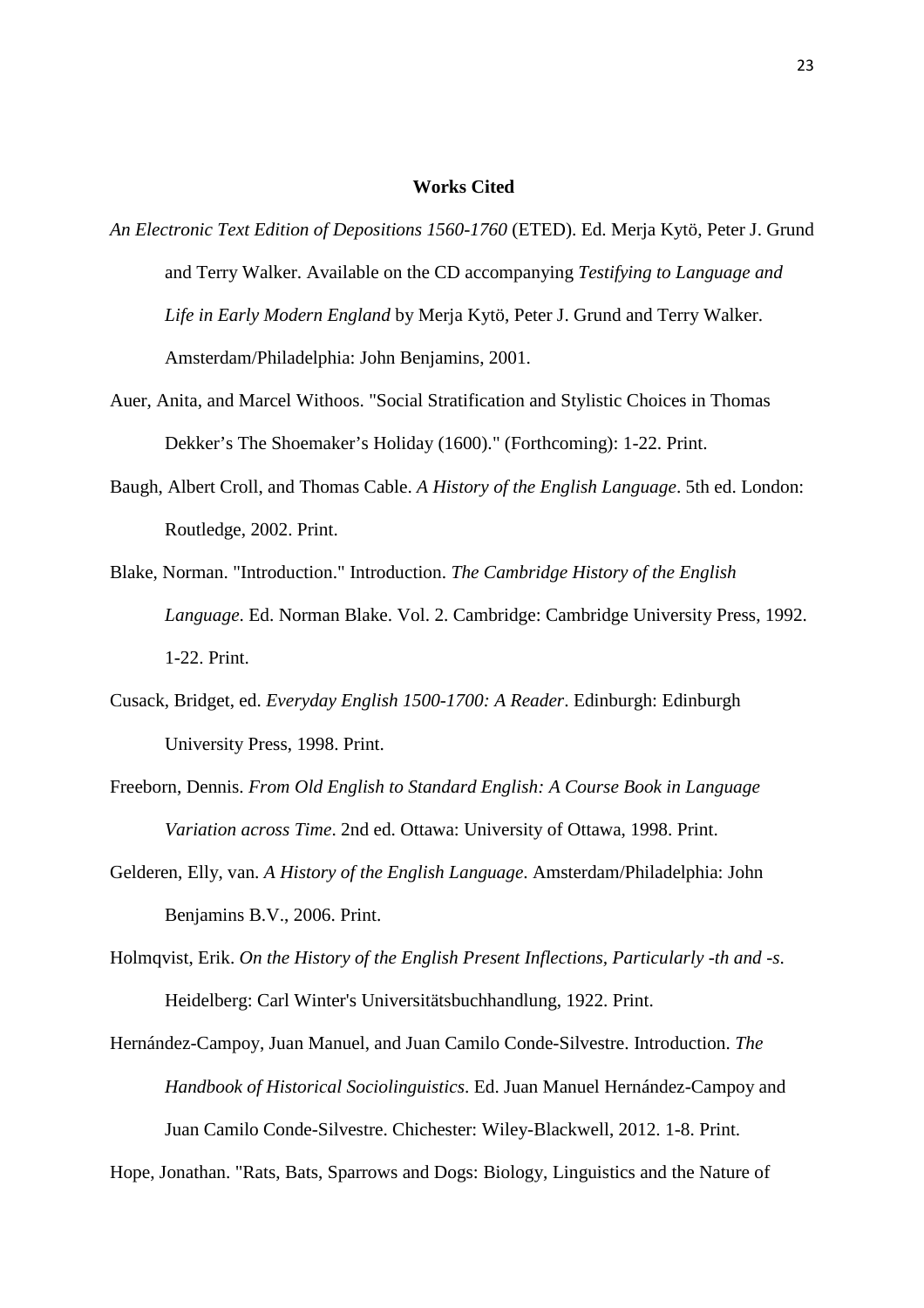#### **Works Cited**

- *An Electronic Text Edition of Depositions 1560-1760* (ETED). Ed. Merja Kytö, Peter J. Grund and Terry Walker. Available on the CD accompanying *Testifying to Language and Life in Early Modern England* by Merja Kytö, Peter J. Grund and Terry Walker. Amsterdam/Philadelphia: John Benjamins, 2001.
- Auer, Anita, and Marcel Withoos. "Social Stratification and Stylistic Choices in Thomas Dekker's The Shoemaker's Holiday (1600)." (Forthcoming): 1-22. Print.
- Baugh, Albert Croll, and Thomas Cable. *A History of the English Language*. 5th ed. London: Routledge, 2002. Print.
- Blake, Norman. "Introduction." Introduction. *The Cambridge History of the English Language*. Ed. Norman Blake. Vol. 2. Cambridge: Cambridge University Press, 1992. 1-22. Print.
- Cusack, Bridget, ed. *Everyday English 1500-1700: A Reader*. Edinburgh: Edinburgh University Press, 1998. Print.
- Freeborn, Dennis. *From Old English to Standard English: A Course Book in Language Variation across Time*. 2nd ed. Ottawa: University of Ottawa, 1998. Print.
- Gelderen, Elly, van. *A History of the English Language*. Amsterdam/Philadelphia: John Benjamins B.V., 2006. Print.
- Holmqvist, Erik. *On the History of the English Present Inflections, Particularly -th and -s*. Heidelberg: Carl Winter's Universitätsbuchhandlung, 1922. Print.
- Hernández-Campoy, Juan Manuel, and Juan Camilo Conde-Silvestre. Introduction. *The Handbook of Historical Sociolinguistics*. Ed. Juan Manuel Hernández-Campoy and Juan Camilo Conde-Silvestre. Chichester: Wiley-Blackwell, 2012. 1-8. Print.

Hope, Jonathan. "Rats, Bats, Sparrows and Dogs: Biology, Linguistics and the Nature of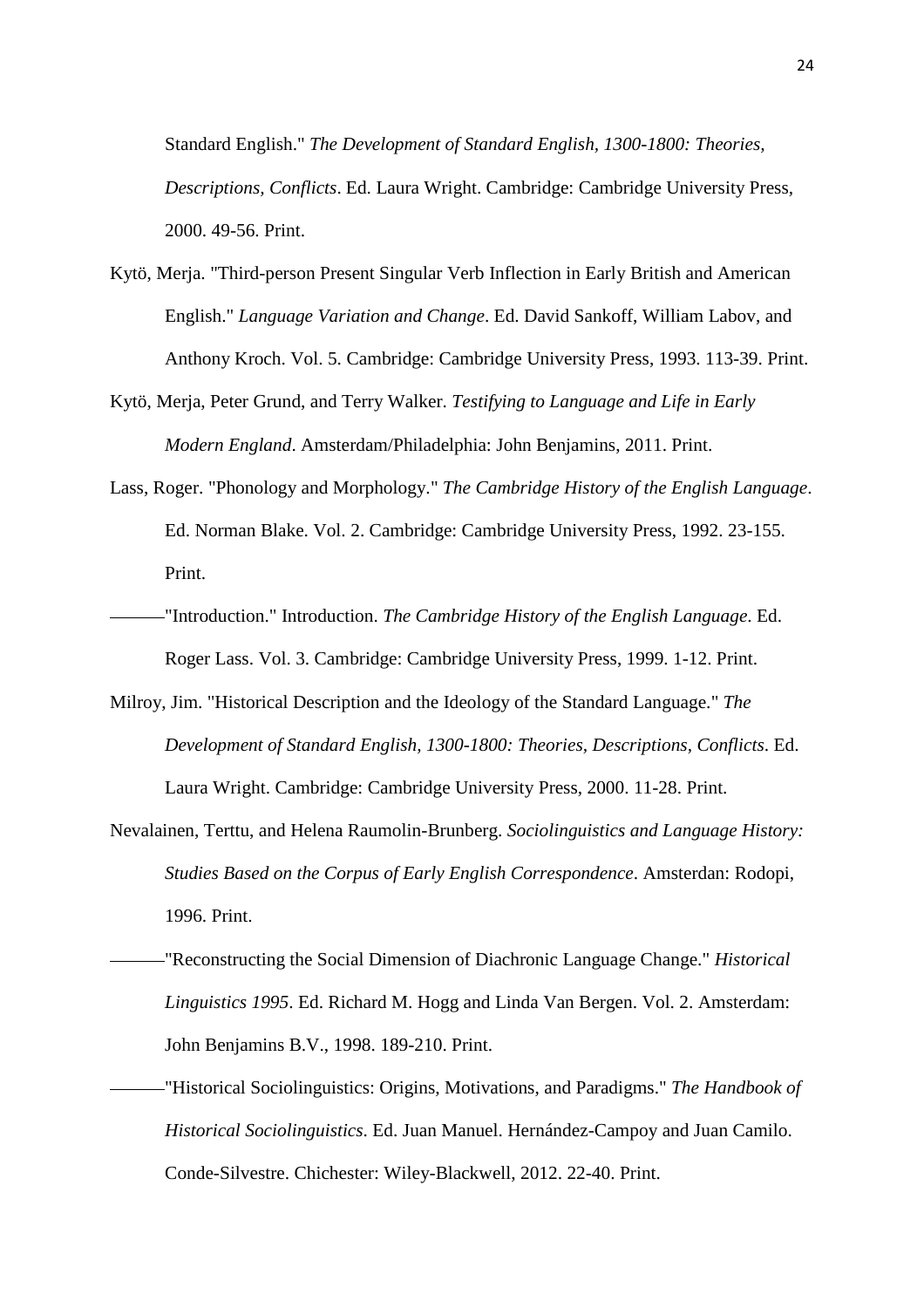Standard English." *The Development of Standard English, 1300-1800: Theories, Descriptions, Conflicts*. Ed. Laura Wright. Cambridge: Cambridge University Press, 2000. 49-56. Print.

- Kytö, Merja. "Third-person Present Singular Verb Inflection in Early British and American English." *Language Variation and Change*. Ed. David Sankoff, William Labov, and Anthony Kroch. Vol. 5. Cambridge: Cambridge University Press, 1993. 113-39. Print.
- Kytö, Merja, Peter Grund, and Terry Walker. *Testifying to Language and Life in Early Modern England*. Amsterdam/Philadelphia: John Benjamins, 2011. Print.
- Lass, Roger. "Phonology and Morphology." *The Cambridge History of the English Language*. Ed. Norman Blake. Vol. 2. Cambridge: Cambridge University Press, 1992. 23-155. Print.
- "Introduction." Introduction. *The Cambridge History of the English Language*. Ed. Roger Lass. Vol. 3. Cambridge: Cambridge University Press, 1999. 1-12. Print.
- Milroy, Jim. "Historical Description and the Ideology of the Standard Language." *The Development of Standard English, 1300-1800: Theories, Descriptions, Conflicts*. Ed. Laura Wright. Cambridge: Cambridge University Press, 2000. 11-28. Print.
- Nevalainen, Terttu, and Helena Raumolin-Brunberg. *Sociolinguistics and Language History: Studies Based on the Corpus of Early English Correspondence*. Amsterdan: Rodopi, 1996. Print.
- "Reconstructing the Social Dimension of Diachronic Language Change." *Historical Linguistics 1995*. Ed. Richard M. Hogg and Linda Van Bergen. Vol. 2. Amsterdam: John Benjamins B.V., 1998. 189-210. Print.
	- "Historical Sociolinguistics: Origins, Motivations, and Paradigms." *The Handbook of Historical Sociolinguistics*. Ed. Juan Manuel. Hernández-Campoy and Juan Camilo. Conde-Silvestre. Chichester: Wiley-Blackwell, 2012. 22-40. Print.